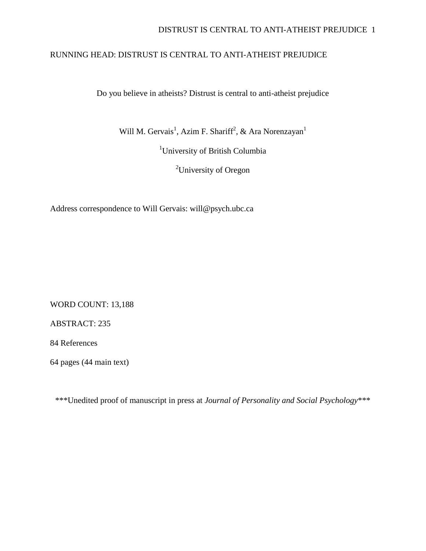# DISTRUST IS CENTRAL TO ANTI-ATHEIST PREJUDICE 1

# RUNNING HEAD: DISTRUST IS CENTRAL TO ANTI-ATHEIST PREJUDICE

Do you believe in atheists? Distrust is central to anti-atheist prejudice

Will M. Gervais<sup>1</sup>, Azim F. Shariff<sup>2</sup>, & Ara Norenzayan<sup>1</sup>

<sup>1</sup>University of British Columbia

<sup>2</sup>University of Oregon

Address correspondence to Will Gervais: will@psych.ubc.ca

WORD COUNT: 13,188

ABSTRACT: 235

84 References

64 pages (44 main text)

\*\*\*Unedited proof of manuscript in press at *Journal of Personality and Social Psychology*\*\*\*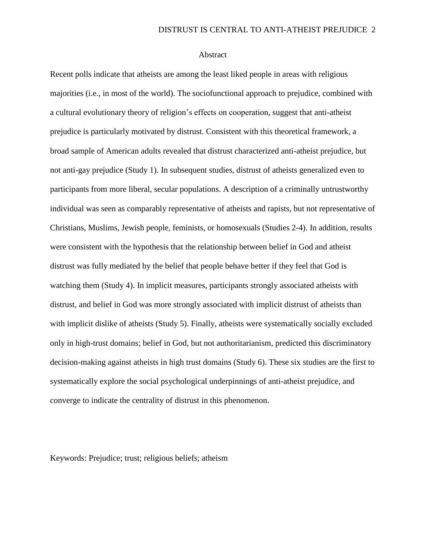## Abstract

Recent polls indicate that atheists are among the least liked people in areas with religious majorities (i.e., in most of the world). The sociofunctional approach to prejudice, combined with a cultural evolutionary theory of religion's effects on cooperation, suggest that anti-atheist prejudice is particularly motivated by distrust. Consistent with this theoretical framework, a broad sample of American adults revealed that distrust characterized anti-atheist prejudice, but not anti-gay prejudice (Study 1). In subsequent studies, distrust of atheists generalized even to participants from more liberal, secular populations. A description of a criminally untrustworthy individual was seen as comparably representative of atheists and rapists, but not representative of Christians, Muslims, Jewish people, feminists, or homosexuals (Studies 2-4). In addition, results were consistent with the hypothesis that the relationship between belief in God and atheist distrust was fully mediated by the belief that people behave better if they feel that God is watching them (Study 4). In implicit measures, participants strongly associated atheists with distrust, and belief in God was more strongly associated with implicit distrust of atheists than with implicit dislike of atheists (Study 5). Finally, atheists were systematically socially excluded only in high-trust domains; belief in God, but not authoritarianism, predicted this discriminatory decision-making against atheists in high trust domains (Study 6). These six studies are the first to systematically explore the social psychological underpinnings of anti-atheist prejudice, and converge to indicate the centrality of distrust in this phenomenon.

Keywords: Prejudice; trust; religious beliefs; atheism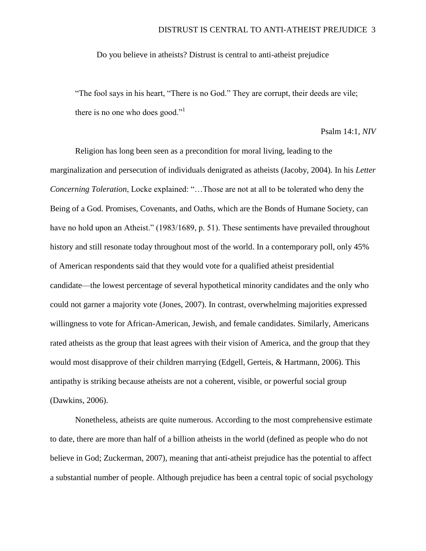Do you believe in atheists? Distrust is central to anti-atheist prejudice

"The fool says in his heart, "There is no God." They are corrupt, their deeds are vile; there is no one who does good." $1$ 

Psalm 14:1, *NIV*

Religion has long been seen as a precondition for moral living, leading to the marginalization and persecution of individuals denigrated as atheists (Jacoby, 2004). In his *Letter Concerning Toleration*, Locke explained: "...Those are not at all to be tolerated who deny the Being of a God. Promises, Covenants, and Oaths, which are the Bonds of Humane Society, can have no hold upon an Atheist." (1983/1689, p. 51). These sentiments have prevailed throughout history and still resonate today throughout most of the world. In a contemporary poll, only 45% of American respondents said that they would vote for a qualified atheist presidential candidate—the lowest percentage of several hypothetical minority candidates and the only who could not garner a majority vote (Jones, 2007). In contrast, overwhelming majorities expressed willingness to vote for African-American, Jewish, and female candidates. Similarly, Americans rated atheists as the group that least agrees with their vision of America, and the group that they would most disapprove of their children marrying (Edgell, Gerteis, & Hartmann, 2006). This antipathy is striking because atheists are not a coherent, visible, or powerful social group (Dawkins, 2006).

Nonetheless, atheists are quite numerous. According to the most comprehensive estimate to date, there are more than half of a billion atheists in the world (defined as people who do not believe in God; Zuckerman, 2007), meaning that anti-atheist prejudice has the potential to affect a substantial number of people. Although prejudice has been a central topic of social psychology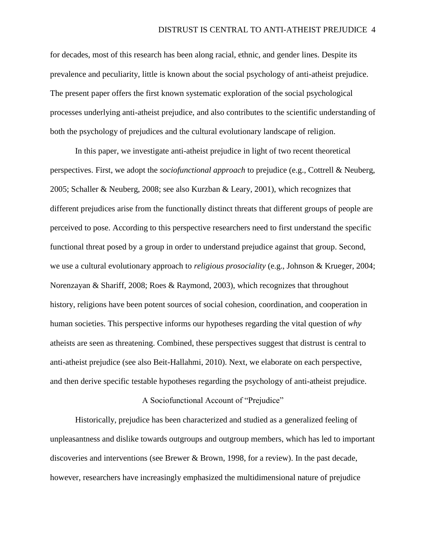for decades, most of this research has been along racial, ethnic, and gender lines. Despite its prevalence and peculiarity, little is known about the social psychology of anti-atheist prejudice. The present paper offers the first known systematic exploration of the social psychological processes underlying anti-atheist prejudice, and also contributes to the scientific understanding of both the psychology of prejudices and the cultural evolutionary landscape of religion.

In this paper, we investigate anti-atheist prejudice in light of two recent theoretical perspectives. First, we adopt the *sociofunctional approach* to prejudice (e.g., Cottrell & Neuberg, 2005; Schaller & Neuberg, 2008; see also Kurzban & Leary, 2001), which recognizes that different prejudices arise from the functionally distinct threats that different groups of people are perceived to pose. According to this perspective researchers need to first understand the specific functional threat posed by a group in order to understand prejudice against that group. Second, we use a cultural evolutionary approach to *religious prosociality* (e.g., Johnson & Krueger, 2004; Norenzayan & Shariff, 2008; Roes & Raymond, 2003), which recognizes that throughout history, religions have been potent sources of social cohesion, coordination, and cooperation in human societies. This perspective informs our hypotheses regarding the vital question of *why* atheists are seen as threatening. Combined, these perspectives suggest that distrust is central to anti-atheist prejudice (see also Beit-Hallahmi, 2010). Next, we elaborate on each perspective, and then derive specific testable hypotheses regarding the psychology of anti-atheist prejudice.

# A Sociofunctional Account of "Prejudice"

Historically, prejudice has been characterized and studied as a generalized feeling of unpleasantness and dislike towards outgroups and outgroup members, which has led to important discoveries and interventions (see Brewer & Brown, 1998, for a review). In the past decade, however, researchers have increasingly emphasized the multidimensional nature of prejudice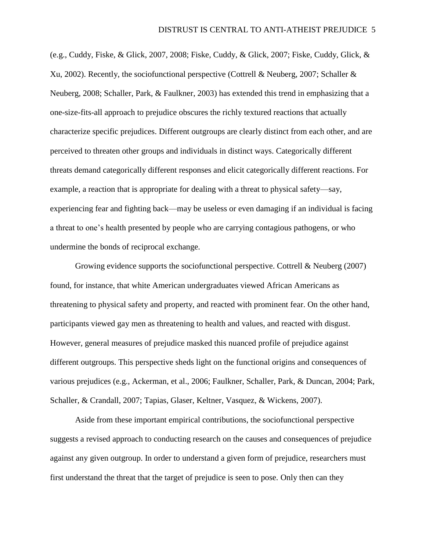(e.g., Cuddy, Fiske, & Glick, 2007, 2008; Fiske, Cuddy, & Glick, 2007; Fiske, Cuddy, Glick, & Xu, 2002). Recently, the sociofunctional perspective (Cottrell & Neuberg, 2007; Schaller & Neuberg, 2008; Schaller, Park, & Faulkner, 2003) has extended this trend in emphasizing that a one-size-fits-all approach to prejudice obscures the richly textured reactions that actually characterize specific prejudices. Different outgroups are clearly distinct from each other, and are perceived to threaten other groups and individuals in distinct ways. Categorically different threats demand categorically different responses and elicit categorically different reactions. For example, a reaction that is appropriate for dealing with a threat to physical safety—say, experiencing fear and fighting back—may be useless or even damaging if an individual is facing a threat to one's health presented by people who are carrying contagious pathogens, or who undermine the bonds of reciprocal exchange.

Growing evidence supports the sociofunctional perspective. Cottrell & Neuberg (2007) found, for instance, that white American undergraduates viewed African Americans as threatening to physical safety and property, and reacted with prominent fear. On the other hand, participants viewed gay men as threatening to health and values, and reacted with disgust. However, general measures of prejudice masked this nuanced profile of prejudice against different outgroups. This perspective sheds light on the functional origins and consequences of various prejudices (e.g., Ackerman, et al., 2006; Faulkner, Schaller, Park, & Duncan, 2004; Park, Schaller, & Crandall, 2007; Tapias, Glaser, Keltner, Vasquez, & Wickens, 2007).

Aside from these important empirical contributions, the sociofunctional perspective suggests a revised approach to conducting research on the causes and consequences of prejudice against any given outgroup. In order to understand a given form of prejudice, researchers must first understand the threat that the target of prejudice is seen to pose. Only then can they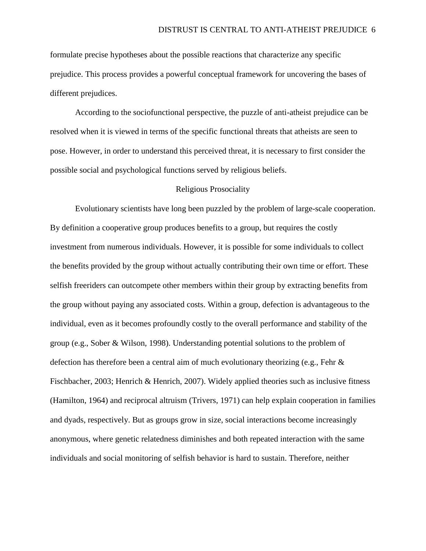formulate precise hypotheses about the possible reactions that characterize any specific prejudice. This process provides a powerful conceptual framework for uncovering the bases of different prejudices.

According to the sociofunctional perspective, the puzzle of anti-atheist prejudice can be resolved when it is viewed in terms of the specific functional threats that atheists are seen to pose. However, in order to understand this perceived threat, it is necessary to first consider the possible social and psychological functions served by religious beliefs.

## Religious Prosociality

Evolutionary scientists have long been puzzled by the problem of large-scale cooperation. By definition a cooperative group produces benefits to a group, but requires the costly investment from numerous individuals. However, it is possible for some individuals to collect the benefits provided by the group without actually contributing their own time or effort. These selfish freeriders can outcompete other members within their group by extracting benefits from the group without paying any associated costs. Within a group, defection is advantageous to the individual, even as it becomes profoundly costly to the overall performance and stability of the group (e.g., Sober & Wilson, 1998). Understanding potential solutions to the problem of defection has therefore been a central aim of much evolutionary theorizing (e.g., Fehr & Fischbacher, 2003; Henrich & Henrich, 2007). Widely applied theories such as inclusive fitness (Hamilton, 1964) and reciprocal altruism (Trivers, 1971) can help explain cooperation in families and dyads, respectively. But as groups grow in size, social interactions become increasingly anonymous, where genetic relatedness diminishes and both repeated interaction with the same individuals and social monitoring of selfish behavior is hard to sustain. Therefore, neither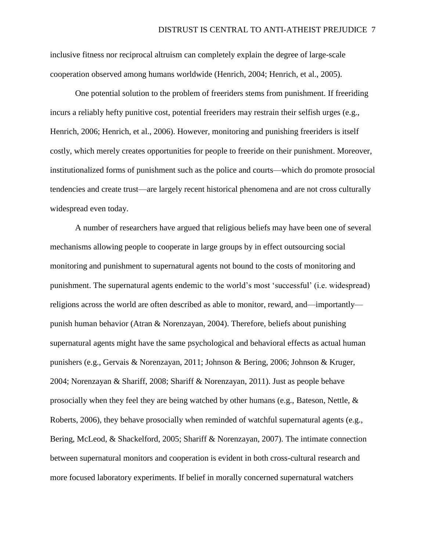inclusive fitness nor reciprocal altruism can completely explain the degree of large-scale cooperation observed among humans worldwide (Henrich, 2004; Henrich, et al., 2005).

One potential solution to the problem of freeriders stems from punishment. If freeriding incurs a reliably hefty punitive cost, potential freeriders may restrain their selfish urges (e.g., Henrich, 2006; Henrich, et al., 2006). However, monitoring and punishing freeriders is itself costly, which merely creates opportunities for people to freeride on their punishment. Moreover, institutionalized forms of punishment such as the police and courts—which do promote prosocial tendencies and create trust—are largely recent historical phenomena and are not cross culturally widespread even today.

A number of researchers have argued that religious beliefs may have been one of several mechanisms allowing people to cooperate in large groups by in effect outsourcing social monitoring and punishment to supernatural agents not bound to the costs of monitoring and punishment. The supernatural agents endemic to the world's most ‗successful' (i.e. widespread) religions across the world are often described as able to monitor, reward, and—importantly punish human behavior (Atran & Norenzayan, 2004). Therefore, beliefs about punishing supernatural agents might have the same psychological and behavioral effects as actual human punishers (e.g., Gervais & Norenzayan, 2011; Johnson & Bering, 2006; Johnson & Kruger, 2004; Norenzayan & Shariff, 2008; Shariff & Norenzayan, 2011). Just as people behave prosocially when they feel they are being watched by other humans (e.g., Bateson, Nettle, & Roberts, 2006), they behave prosocially when reminded of watchful supernatural agents (e.g., Bering, McLeod, & Shackelford, 2005; Shariff & Norenzayan, 2007). The intimate connection between supernatural monitors and cooperation is evident in both cross-cultural research and more focused laboratory experiments. If belief in morally concerned supernatural watchers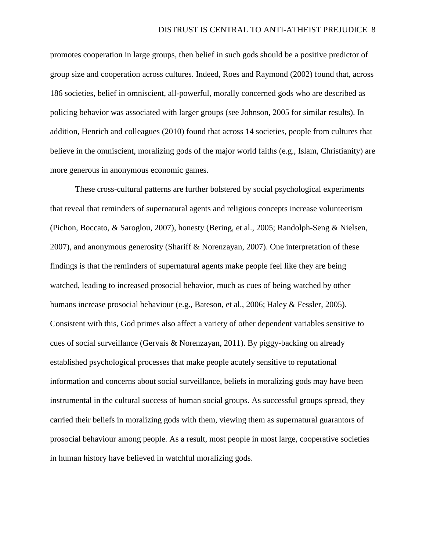promotes cooperation in large groups, then belief in such gods should be a positive predictor of group size and cooperation across cultures. Indeed, Roes and Raymond (2002) found that, across 186 societies, belief in omniscient, all-powerful, morally concerned gods who are described as policing behavior was associated with larger groups (see Johnson, 2005 for similar results). In addition, Henrich and colleagues (2010) found that across 14 societies, people from cultures that believe in the omniscient, moralizing gods of the major world faiths (e.g., Islam, Christianity) are more generous in anonymous economic games.

These cross-cultural patterns are further bolstered by social psychological experiments that reveal that reminders of supernatural agents and religious concepts increase volunteerism (Pichon, Boccato, & Saroglou, 2007), honesty (Bering, et al., 2005; Randolph-Seng & Nielsen, 2007), and anonymous generosity (Shariff & Norenzayan, 2007). One interpretation of these findings is that the reminders of supernatural agents make people feel like they are being watched, leading to increased prosocial behavior, much as cues of being watched by other humans increase prosocial behaviour (e.g., Bateson, et al., 2006; Haley & Fessler, 2005). Consistent with this, God primes also affect a variety of other dependent variables sensitive to cues of social surveillance (Gervais & Norenzayan, 2011). By piggy-backing on already established psychological processes that make people acutely sensitive to reputational information and concerns about social surveillance, beliefs in moralizing gods may have been instrumental in the cultural success of human social groups. As successful groups spread, they carried their beliefs in moralizing gods with them, viewing them as supernatural guarantors of prosocial behaviour among people. As a result, most people in most large, cooperative societies in human history have believed in watchful moralizing gods.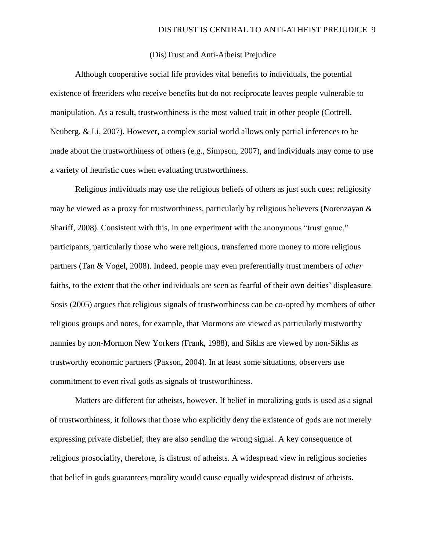# (Dis)Trust and Anti-Atheist Prejudice

Although cooperative social life provides vital benefits to individuals, the potential existence of freeriders who receive benefits but do not reciprocate leaves people vulnerable to manipulation. As a result, trustworthiness is the most valued trait in other people (Cottrell, Neuberg, & Li, 2007). However, a complex social world allows only partial inferences to be made about the trustworthiness of others (e.g., Simpson, 2007), and individuals may come to use a variety of heuristic cues when evaluating trustworthiness.

Religious individuals may use the religious beliefs of others as just such cues: religiosity may be viewed as a proxy for trustworthiness, particularly by religious believers (Norenzayan & Shariff, 2008). Consistent with this, in one experiment with the anonymous "trust game," participants, particularly those who were religious, transferred more money to more religious partners (Tan & Vogel, 2008). Indeed, people may even preferentially trust members of *other* faiths, to the extent that the other individuals are seen as fearful of their own deities' displeasure. Sosis (2005) argues that religious signals of trustworthiness can be co-opted by members of other religious groups and notes, for example, that Mormons are viewed as particularly trustworthy nannies by non-Mormon New Yorkers (Frank, 1988), and Sikhs are viewed by non-Sikhs as trustworthy economic partners (Paxson, 2004). In at least some situations, observers use commitment to even rival gods as signals of trustworthiness.

Matters are different for atheists, however. If belief in moralizing gods is used as a signal of trustworthiness, it follows that those who explicitly deny the existence of gods are not merely expressing private disbelief; they are also sending the wrong signal. A key consequence of religious prosociality, therefore, is distrust of atheists. A widespread view in religious societies that belief in gods guarantees morality would cause equally widespread distrust of atheists.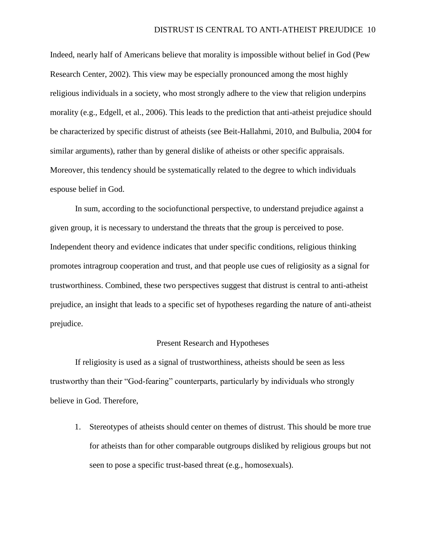Indeed, nearly half of Americans believe that morality is impossible without belief in God (Pew Research Center, 2002). This view may be especially pronounced among the most highly religious individuals in a society, who most strongly adhere to the view that religion underpins morality (e.g., Edgell, et al., 2006). This leads to the prediction that anti-atheist prejudice should be characterized by specific distrust of atheists (see Beit-Hallahmi, 2010, and Bulbulia, 2004 for similar arguments), rather than by general dislike of atheists or other specific appraisals. Moreover, this tendency should be systematically related to the degree to which individuals espouse belief in God.

In sum, according to the sociofunctional perspective, to understand prejudice against a given group, it is necessary to understand the threats that the group is perceived to pose. Independent theory and evidence indicates that under specific conditions, religious thinking promotes intragroup cooperation and trust, and that people use cues of religiosity as a signal for trustworthiness. Combined, these two perspectives suggest that distrust is central to anti-atheist prejudice, an insight that leads to a specific set of hypotheses regarding the nature of anti-atheist prejudice.

# Present Research and Hypotheses

If religiosity is used as a signal of trustworthiness, atheists should be seen as less trustworthy than their "God-fearing" counterparts, particularly by individuals who strongly believe in God. Therefore,

1. Stereotypes of atheists should center on themes of distrust. This should be more true for atheists than for other comparable outgroups disliked by religious groups but not seen to pose a specific trust-based threat (e.g., homosexuals).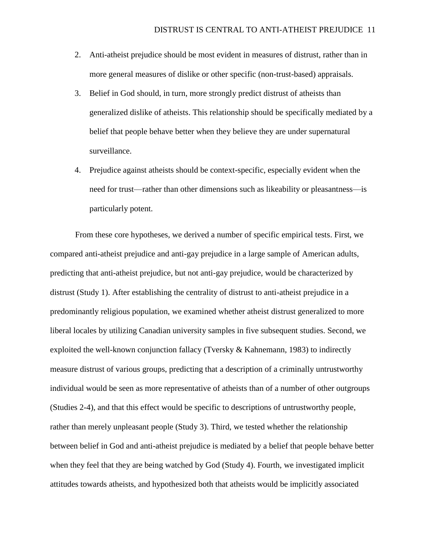- 2. Anti-atheist prejudice should be most evident in measures of distrust, rather than in more general measures of dislike or other specific (non-trust-based) appraisals.
- 3. Belief in God should, in turn, more strongly predict distrust of atheists than generalized dislike of atheists. This relationship should be specifically mediated by a belief that people behave better when they believe they are under supernatural surveillance.
- 4. Prejudice against atheists should be context-specific, especially evident when the need for trust—rather than other dimensions such as likeability or pleasantness—is particularly potent.

From these core hypotheses, we derived a number of specific empirical tests. First, we compared anti-atheist prejudice and anti-gay prejudice in a large sample of American adults, predicting that anti-atheist prejudice, but not anti-gay prejudice, would be characterized by distrust (Study 1). After establishing the centrality of distrust to anti-atheist prejudice in a predominantly religious population, we examined whether atheist distrust generalized to more liberal locales by utilizing Canadian university samples in five subsequent studies. Second, we exploited the well-known conjunction fallacy (Tversky & Kahnemann, 1983) to indirectly measure distrust of various groups, predicting that a description of a criminally untrustworthy individual would be seen as more representative of atheists than of a number of other outgroups (Studies 2-4), and that this effect would be specific to descriptions of untrustworthy people, rather than merely unpleasant people (Study 3). Third, we tested whether the relationship between belief in God and anti-atheist prejudice is mediated by a belief that people behave better when they feel that they are being watched by God (Study 4). Fourth, we investigated implicit attitudes towards atheists, and hypothesized both that atheists would be implicitly associated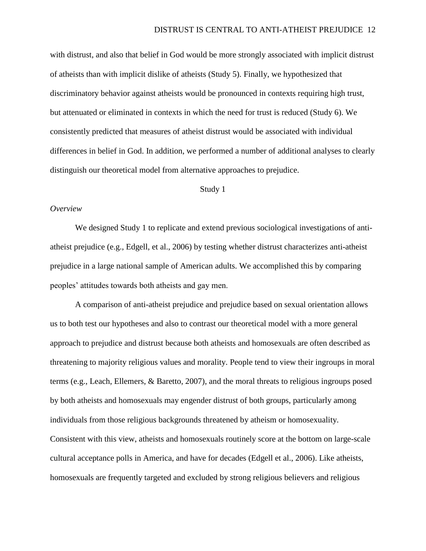with distrust, and also that belief in God would be more strongly associated with implicit distrust of atheists than with implicit dislike of atheists (Study 5). Finally, we hypothesized that discriminatory behavior against atheists would be pronounced in contexts requiring high trust, but attenuated or eliminated in contexts in which the need for trust is reduced (Study 6). We consistently predicted that measures of atheist distrust would be associated with individual differences in belief in God. In addition, we performed a number of additional analyses to clearly distinguish our theoretical model from alternative approaches to prejudice.

# Study 1

# *Overview*

We designed Study 1 to replicate and extend previous sociological investigations of antiatheist prejudice (e.g., Edgell, et al., 2006) by testing whether distrust characterizes anti-atheist prejudice in a large national sample of American adults. We accomplished this by comparing peoples' attitudes towards both atheists and gay men.

A comparison of anti-atheist prejudice and prejudice based on sexual orientation allows us to both test our hypotheses and also to contrast our theoretical model with a more general approach to prejudice and distrust because both atheists and homosexuals are often described as threatening to majority religious values and morality. People tend to view their ingroups in moral terms (e.g., Leach, Ellemers, & Baretto, 2007), and the moral threats to religious ingroups posed by both atheists and homosexuals may engender distrust of both groups, particularly among individuals from those religious backgrounds threatened by atheism or homosexuality. Consistent with this view, atheists and homosexuals routinely score at the bottom on large-scale cultural acceptance polls in America, and have for decades (Edgell et al., 2006). Like atheists, homosexuals are frequently targeted and excluded by strong religious believers and religious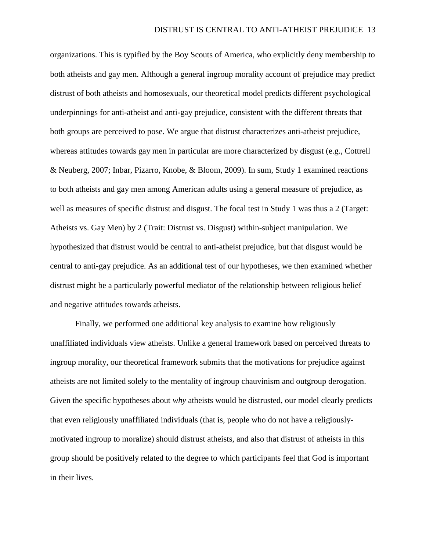organizations. This is typified by the Boy Scouts of America, who explicitly deny membership to both atheists and gay men. Although a general ingroup morality account of prejudice may predict distrust of both atheists and homosexuals, our theoretical model predicts different psychological underpinnings for anti-atheist and anti-gay prejudice, consistent with the different threats that both groups are perceived to pose. We argue that distrust characterizes anti-atheist prejudice, whereas attitudes towards gay men in particular are more characterized by disgust (e.g., Cottrell & Neuberg, 2007; Inbar, Pizarro, Knobe, & Bloom, 2009). In sum, Study 1 examined reactions to both atheists and gay men among American adults using a general measure of prejudice, as well as measures of specific distrust and disgust. The focal test in Study 1 was thus a 2 (Target: Atheists vs. Gay Men) by 2 (Trait: Distrust vs. Disgust) within-subject manipulation. We hypothesized that distrust would be central to anti-atheist prejudice, but that disgust would be central to anti-gay prejudice. As an additional test of our hypotheses, we then examined whether distrust might be a particularly powerful mediator of the relationship between religious belief and negative attitudes towards atheists.

Finally, we performed one additional key analysis to examine how religiously unaffiliated individuals view atheists. Unlike a general framework based on perceived threats to ingroup morality, our theoretical framework submits that the motivations for prejudice against atheists are not limited solely to the mentality of ingroup chauvinism and outgroup derogation. Given the specific hypotheses about *why* atheists would be distrusted, our model clearly predicts that even religiously unaffiliated individuals (that is, people who do not have a religiouslymotivated ingroup to moralize) should distrust atheists, and also that distrust of atheists in this group should be positively related to the degree to which participants feel that God is important in their lives.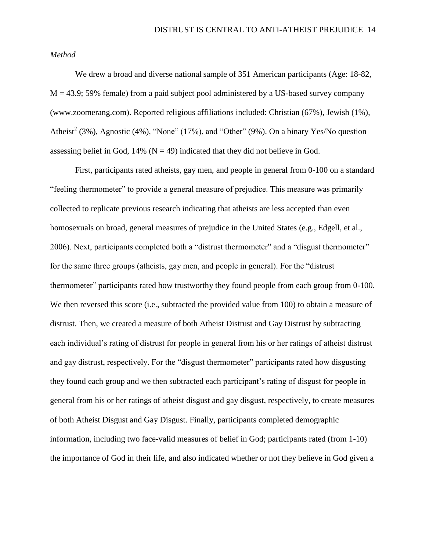*Method*

We drew a broad and diverse national sample of 351 American participants (Age: 18-82,  $M = 43.9$ ; 59% female) from a paid subject pool administered by a US-based survey company (www.zoomerang.com). Reported religious affiliations included: Christian (67%), Jewish (1%), Atheist<sup>2</sup> (3%), Agnostic (4%), "None" (17%), and "Other" (9%). On a binary Yes/No question assessing belief in God, 14% ( $N = 49$ ) indicated that they did not believe in God.

First, participants rated atheists, gay men, and people in general from 0-100 on a standard ―feeling thermometer‖ to provide a general measure of prejudice. This measure was primarily collected to replicate previous research indicating that atheists are less accepted than even homosexuals on broad, general measures of prejudice in the United States (e.g., Edgell, et al., 2006). Next, participants completed both a "distrust thermometer" and a "disgust thermometer" for the same three groups (atheists, gay men, and people in general). For the "distrust" thermometer" participants rated how trustworthy they found people from each group from 0-100. We then reversed this score (i.e., subtracted the provided value from 100) to obtain a measure of distrust. Then, we created a measure of both Atheist Distrust and Gay Distrust by subtracting each individual's rating of distrust for people in general from his or her ratings of atheist distrust and gay distrust, respectively. For the "disgust thermometer" participants rated how disgusting they found each group and we then subtracted each participant's rating of disgust for people in general from his or her ratings of atheist disgust and gay disgust, respectively, to create measures of both Atheist Disgust and Gay Disgust. Finally, participants completed demographic information, including two face-valid measures of belief in God; participants rated (from 1-10) the importance of God in their life, and also indicated whether or not they believe in God given a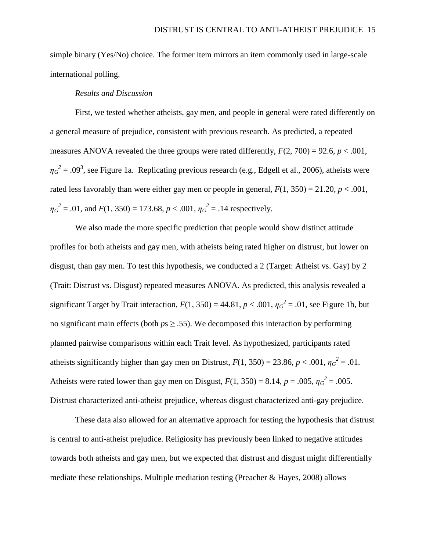simple binary (Yes/No) choice. The former item mirrors an item commonly used in large-scale international polling.

# *Results and Discussion*

First, we tested whether atheists, gay men, and people in general were rated differently on a general measure of prejudice, consistent with previous research. As predicted, a repeated measures ANOVA revealed the three groups were rated differently,  $F(2, 700) = 92.6$ ,  $p < .001$ ,  $\eta_G^2$  = .09<sup>3</sup>, see Figure 1a. Replicating previous research (e.g., Edgell et al., 2006), atheists were rated less favorably than were either gay men or people in general,  $F(1, 350) = 21.20$ ,  $p < .001$ ,  $\eta_G^2 = .01$ , and  $F(1, 350) = 173.68$ ,  $p < .001$ ,  $\eta_G^2 = .14$  respectively.

We also made the more specific prediction that people would show distinct attitude profiles for both atheists and gay men, with atheists being rated higher on distrust, but lower on disgust, than gay men. To test this hypothesis, we conducted a 2 (Target: Atheist vs. Gay) by 2 (Trait: Distrust vs. Disgust) repeated measures ANOVA. As predicted, this analysis revealed a significant Target by Trait interaction,  $F(1, 350) = 44.81$ ,  $p < .001$ ,  ${\eta_G}^2 = .01$ , see Figure 1b, but no significant main effects (both  $ps \geq .55$ ). We decomposed this interaction by performing planned pairwise comparisons within each Trait level. As hypothesized, participants rated atheists significantly higher than gay men on Distrust,  $F(1, 350) = 23.86$ ,  $p < .001$ ,  $\eta_G^2 = .01$ . Atheists were rated lower than gay men on Disgust,  $F(1, 350) = 8.14$ ,  $p = .005$ ,  $\eta_G^2 = .005$ . Distrust characterized anti-atheist prejudice, whereas disgust characterized anti-gay prejudice.

These data also allowed for an alternative approach for testing the hypothesis that distrust is central to anti-atheist prejudice. Religiosity has previously been linked to negative attitudes towards both atheists and gay men, but we expected that distrust and disgust might differentially mediate these relationships. Multiple mediation testing (Preacher & Hayes, 2008) allows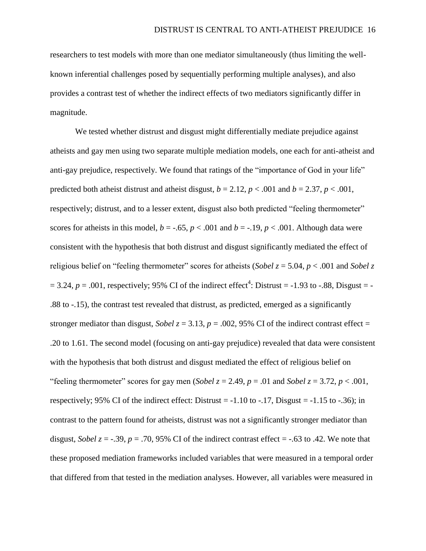researchers to test models with more than one mediator simultaneously (thus limiting the wellknown inferential challenges posed by sequentially performing multiple analyses), and also provides a contrast test of whether the indirect effects of two mediators significantly differ in magnitude.

We tested whether distrust and disgust might differentially mediate prejudice against atheists and gay men using two separate multiple mediation models, one each for anti-atheist and anti-gay prejudice, respectively. We found that ratings of the "importance of God in your life" predicted both atheist distrust and atheist disgust,  $b = 2.12$ ,  $p < .001$  and  $b = 2.37$ ,  $p < .001$ , respectively; distrust, and to a lesser extent, disgust also both predicted "feeling thermometer" scores for atheists in this model,  $b = -.65$ ,  $p < .001$  and  $b = -.19$ ,  $p < .001$ . Although data were consistent with the hypothesis that both distrust and disgust significantly mediated the effect of religious belief on "feeling thermometer" scores for atheists (*Sobel z* = 5.04,  $p < .001$  and *Sobel z*  $= 3.24, p = .001$ , respectively; 95% CI of the indirect effect<sup>4</sup>: Distrust = -1.93 to -.88, Disgust = -.88 to -.15), the contrast test revealed that distrust, as predicted, emerged as a significantly stronger mediator than disgust, *Sobel z* = 3.13,  $p = .002$ , 95% CI of the indirect contrast effect = .20 to 1.61. The second model (focusing on anti-gay prejudice) revealed that data were consistent with the hypothesis that both distrust and disgust mediated the effect of religious belief on "feeling thermometer" scores for gay men (*Sobel z* = 2.49, *p* = .01 and *Sobel z* = 3.72, *p* < .001, respectively; 95% CI of the indirect effect: Distrust  $= -1.10$  to  $-17$ , Disgust  $= -1.15$  to  $-36$ ); in contrast to the pattern found for atheists, distrust was not a significantly stronger mediator than disgust, *Sobel z* =  $-.39$ , *p* = .70, 95% CI of the indirect contrast effect =  $-.63$  to .42. We note that these proposed mediation frameworks included variables that were measured in a temporal order that differed from that tested in the mediation analyses. However, all variables were measured in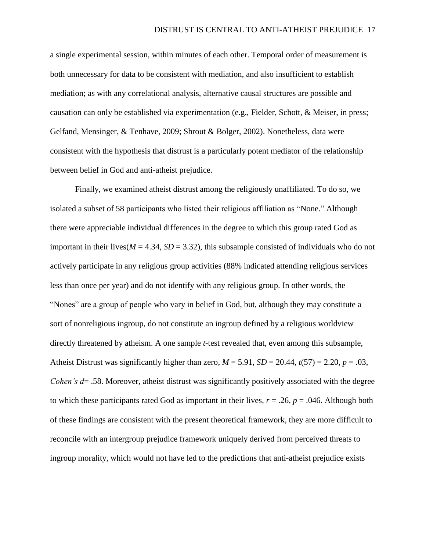a single experimental session, within minutes of each other. Temporal order of measurement is both unnecessary for data to be consistent with mediation, and also insufficient to establish mediation; as with any correlational analysis, alternative causal structures are possible and causation can only be established via experimentation (e.g., Fielder, Schott, & Meiser, in press; Gelfand, Mensinger, & Tenhave, 2009; Shrout & Bolger, 2002). Nonetheless, data were consistent with the hypothesis that distrust is a particularly potent mediator of the relationship between belief in God and anti-atheist prejudice.

Finally, we examined atheist distrust among the religiously unaffiliated. To do so, we isolated a subset of 58 participants who listed their religious affiliation as "None." Although there were appreciable individual differences in the degree to which this group rated God as important in their lives( $M = 4.34$ ,  $SD = 3.32$ ), this subsample consisted of individuals who do not actively participate in any religious group activities (88% indicated attending religious services less than once per year) and do not identify with any religious group. In other words, the "Nones" are a group of people who vary in belief in God, but, although they may constitute a sort of nonreligious ingroup, do not constitute an ingroup defined by a religious worldview directly threatened by atheism. A one sample *t*-test revealed that, even among this subsample, Atheist Distrust was significantly higher than zero,  $M = 5.91$ ,  $SD = 20.44$ ,  $t(57) = 2.20$ ,  $p = .03$ , *Cohen's d*= .58. Moreover, atheist distrust was significantly positively associated with the degree to which these participants rated God as important in their lives,  $r = .26$ ,  $p = .046$ . Although both of these findings are consistent with the present theoretical framework, they are more difficult to reconcile with an intergroup prejudice framework uniquely derived from perceived threats to ingroup morality, which would not have led to the predictions that anti-atheist prejudice exists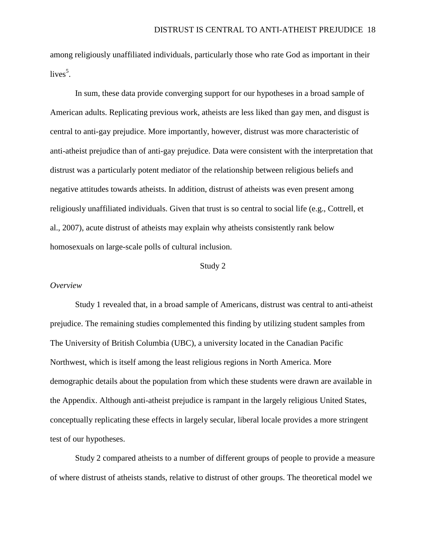among religiously unaffiliated individuals, particularly those who rate God as important in their  $lives^5$ .

In sum, these data provide converging support for our hypotheses in a broad sample of American adults. Replicating previous work, atheists are less liked than gay men, and disgust is central to anti-gay prejudice. More importantly, however, distrust was more characteristic of anti-atheist prejudice than of anti-gay prejudice. Data were consistent with the interpretation that distrust was a particularly potent mediator of the relationship between religious beliefs and negative attitudes towards atheists. In addition, distrust of atheists was even present among religiously unaffiliated individuals. Given that trust is so central to social life (e.g., Cottrell, et al., 2007), acute distrust of atheists may explain why atheists consistently rank below homosexuals on large-scale polls of cultural inclusion.

# Study 2

#### *Overview*

Study 1 revealed that, in a broad sample of Americans, distrust was central to anti-atheist prejudice. The remaining studies complemented this finding by utilizing student samples from The University of British Columbia (UBC), a university located in the Canadian Pacific Northwest, which is itself among the least religious regions in North America. More demographic details about the population from which these students were drawn are available in the Appendix. Although anti-atheist prejudice is rampant in the largely religious United States, conceptually replicating these effects in largely secular, liberal locale provides a more stringent test of our hypotheses.

Study 2 compared atheists to a number of different groups of people to provide a measure of where distrust of atheists stands, relative to distrust of other groups. The theoretical model we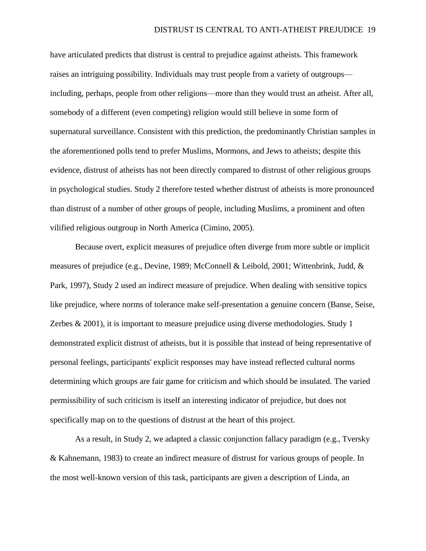have articulated predicts that distrust is central to prejudice against atheists. This framework raises an intriguing possibility. Individuals may trust people from a variety of outgroups including, perhaps, people from other religions—more than they would trust an atheist. After all, somebody of a different (even competing) religion would still believe in some form of supernatural surveillance. Consistent with this prediction, the predominantly Christian samples in the aforementioned polls tend to prefer Muslims, Mormons, and Jews to atheists; despite this evidence, distrust of atheists has not been directly compared to distrust of other religious groups in psychological studies. Study 2 therefore tested whether distrust of atheists is more pronounced than distrust of a number of other groups of people, including Muslims, a prominent and often vilified religious outgroup in North America (Cimino, 2005).

Because overt, explicit measures of prejudice often diverge from more subtle or implicit measures of prejudice (e.g., Devine, 1989; McConnell & Leibold, 2001; Wittenbrink, Judd, & Park, 1997), Study 2 used an indirect measure of prejudice. When dealing with sensitive topics like prejudice, where norms of tolerance make self-presentation a genuine concern (Banse, Seise, Zerbes & 2001), it is important to measure prejudice using diverse methodologies. Study 1 demonstrated explicit distrust of atheists, but it is possible that instead of being representative of personal feelings, participants' explicit responses may have instead reflected cultural norms determining which groups are fair game for criticism and which should be insulated. The varied permissibility of such criticism is itself an interesting indicator of prejudice, but does not specifically map on to the questions of distrust at the heart of this project.

As a result, in Study 2, we adapted a classic conjunction fallacy paradigm (e.g., Tversky & Kahnemann, 1983) to create an indirect measure of distrust for various groups of people. In the most well-known version of this task, participants are given a description of Linda, an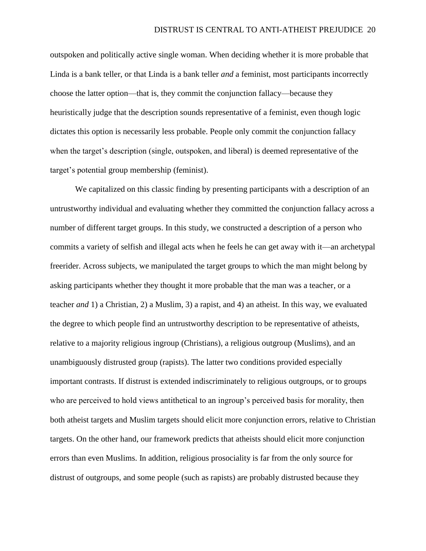outspoken and politically active single woman. When deciding whether it is more probable that Linda is a bank teller, or that Linda is a bank teller *and* a feminist, most participants incorrectly choose the latter option—that is, they commit the conjunction fallacy—because they heuristically judge that the description sounds representative of a feminist, even though logic dictates this option is necessarily less probable. People only commit the conjunction fallacy when the target's description (single, outspoken, and liberal) is deemed representative of the target's potential group membership (feminist).

We capitalized on this classic finding by presenting participants with a description of an untrustworthy individual and evaluating whether they committed the conjunction fallacy across a number of different target groups. In this study, we constructed a description of a person who commits a variety of selfish and illegal acts when he feels he can get away with it—an archetypal freerider. Across subjects, we manipulated the target groups to which the man might belong by asking participants whether they thought it more probable that the man was a teacher, or a teacher *and* 1) a Christian, 2) a Muslim, 3) a rapist, and 4) an atheist. In this way, we evaluated the degree to which people find an untrustworthy description to be representative of atheists, relative to a majority religious ingroup (Christians), a religious outgroup (Muslims), and an unambiguously distrusted group (rapists). The latter two conditions provided especially important contrasts. If distrust is extended indiscriminately to religious outgroups, or to groups who are perceived to hold views antithetical to an ingroup's perceived basis for morality, then both atheist targets and Muslim targets should elicit more conjunction errors, relative to Christian targets. On the other hand, our framework predicts that atheists should elicit more conjunction errors than even Muslims. In addition, religious prosociality is far from the only source for distrust of outgroups, and some people (such as rapists) are probably distrusted because they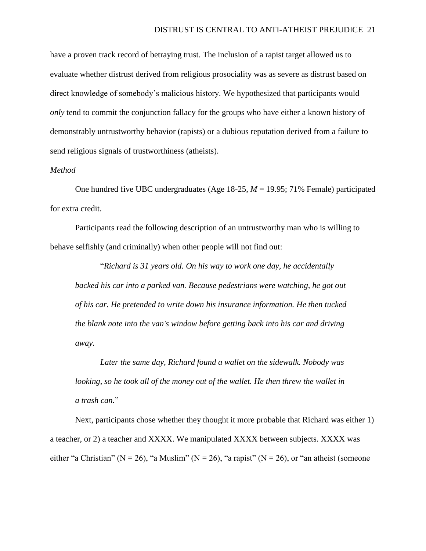have a proven track record of betraying trust. The inclusion of a rapist target allowed us to evaluate whether distrust derived from religious prosociality was as severe as distrust based on direct knowledge of somebody's malicious history. We hypothesized that participants would *only* tend to commit the conjunction fallacy for the groups who have either a known history of demonstrably untrustworthy behavior (rapists) or a dubious reputation derived from a failure to send religious signals of trustworthiness (atheists).

# *Method*

One hundred five UBC undergraduates (Age 18-25, *M* = 19.95; 71% Female) participated for extra credit.

Participants read the following description of an untrustworthy man who is willing to behave selfishly (and criminally) when other people will not find out:

―*Richard is 31 years old. On his way to work one day, he accidentally backed his car into a parked van. Because pedestrians were watching, he got out of his car. He pretended to write down his insurance information. He then tucked the blank note into the van's window before getting back into his car and driving away.*

*Later the same day, Richard found a wallet on the sidewalk. Nobody was looking, so he took all of the money out of the wallet. He then threw the wallet in a trash can.*‖

Next, participants chose whether they thought it more probable that Richard was either 1) a teacher, or 2) a teacher and XXXX. We manipulated XXXX between subjects. XXXX was either "a Christian" (N = 26), "a Muslim" (N = 26), "a rapist" (N = 26), or "an atheist (someone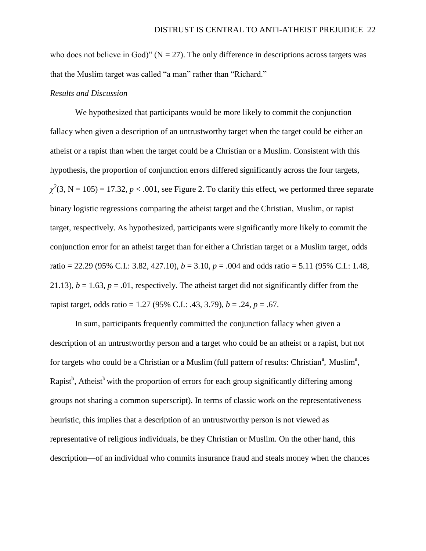who does not believe in God)" ( $N = 27$ ). The only difference in descriptions across targets was that the Muslim target was called "a man" rather than "Richard."

# *Results and Discussion*

We hypothesized that participants would be more likely to commit the conjunction fallacy when given a description of an untrustworthy target when the target could be either an atheist or a rapist than when the target could be a Christian or a Muslim. Consistent with this hypothesis, the proportion of conjunction errors differed significantly across the four targets,  $\chi^2(3, N = 105) = 17.32, p < .001$ , see Figure 2. To clarify this effect, we performed three separate binary logistic regressions comparing the atheist target and the Christian, Muslim, or rapist target, respectively. As hypothesized, participants were significantly more likely to commit the conjunction error for an atheist target than for either a Christian target or a Muslim target, odds ratio = 22.29 (95% C.I.: 3.82, 427.10),  $b = 3.10$ ,  $p = .004$  and odds ratio = 5.11 (95% C.I.: 1.48, 21.13),  $b = 1.63$ ,  $p = .01$ , respectively. The atheist target did not significantly differ from the rapist target, odds ratio = 1.27 (95% C.I.: .43, 3.79), *b* = .24, *p* = .67.

In sum, participants frequently committed the conjunction fallacy when given a description of an untrustworthy person and a target who could be an atheist or a rapist, but not for targets who could be a Christian or a Muslim (full pattern of results: Christian<sup>a</sup>, Muslim<sup>a</sup>, Rapist<sup>b</sup>, Atheist<sup>b</sup> with the proportion of errors for each group significantly differing among groups not sharing a common superscript). In terms of classic work on the representativeness heuristic, this implies that a description of an untrustworthy person is not viewed as representative of religious individuals, be they Christian or Muslim. On the other hand, this description—of an individual who commits insurance fraud and steals money when the chances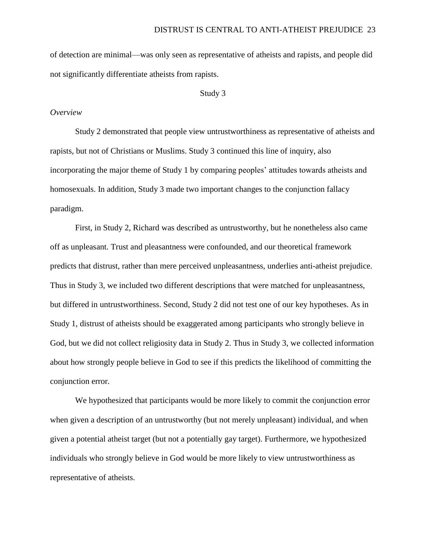of detection are minimal—was only seen as representative of atheists and rapists, and people did not significantly differentiate atheists from rapists.

#### Study 3

## *Overview*

Study 2 demonstrated that people view untrustworthiness as representative of atheists and rapists, but not of Christians or Muslims. Study 3 continued this line of inquiry, also incorporating the major theme of Study 1 by comparing peoples' attitudes towards atheists and homosexuals. In addition, Study 3 made two important changes to the conjunction fallacy paradigm.

First, in Study 2, Richard was described as untrustworthy, but he nonetheless also came off as unpleasant. Trust and pleasantness were confounded, and our theoretical framework predicts that distrust, rather than mere perceived unpleasantness, underlies anti-atheist prejudice. Thus in Study 3, we included two different descriptions that were matched for unpleasantness, but differed in untrustworthiness. Second, Study 2 did not test one of our key hypotheses. As in Study 1, distrust of atheists should be exaggerated among participants who strongly believe in God, but we did not collect religiosity data in Study 2. Thus in Study 3, we collected information about how strongly people believe in God to see if this predicts the likelihood of committing the conjunction error.

We hypothesized that participants would be more likely to commit the conjunction error when given a description of an untrustworthy (but not merely unpleasant) individual, and when given a potential atheist target (but not a potentially gay target). Furthermore, we hypothesized individuals who strongly believe in God would be more likely to view untrustworthiness as representative of atheists.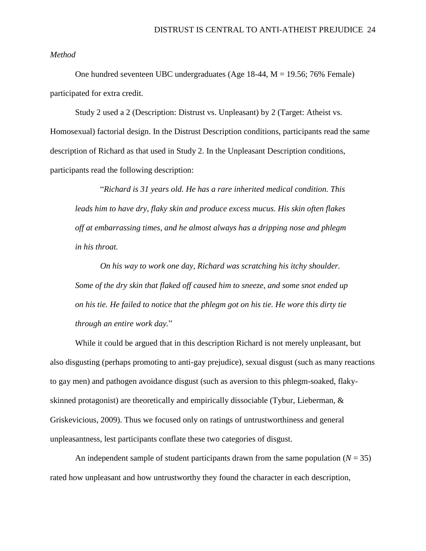# *Method*

One hundred seventeen UBC undergraduates (Age  $18-44$ , M = 19.56; 76% Female) participated for extra credit.

Study 2 used a 2 (Description: Distrust vs. Unpleasant) by 2 (Target: Atheist vs. Homosexual) factorial design. In the Distrust Description conditions, participants read the same description of Richard as that used in Study 2. In the Unpleasant Description conditions, participants read the following description:

―*Richard is 31 years old. He has a rare inherited medical condition. This leads him to have dry, flaky skin and produce excess mucus. His skin often flakes off at embarrassing times, and he almost always has a dripping nose and phlegm in his throat.*

*On his way to work one day, Richard was scratching his itchy shoulder. Some of the dry skin that flaked off caused him to sneeze, and some snot ended up on his tie. He failed to notice that the phlegm got on his tie. He wore this dirty tie through an entire work day.*‖

While it could be argued that in this description Richard is not merely unpleasant, but also disgusting (perhaps promoting to anti-gay prejudice), sexual disgust (such as many reactions to gay men) and pathogen avoidance disgust (such as aversion to this phlegm-soaked, flakyskinned protagonist) are theoretically and empirically dissociable (Tybur, Lieberman, & Griskevicious, 2009). Thus we focused only on ratings of untrustworthiness and general unpleasantness, lest participants conflate these two categories of disgust.

An independent sample of student participants drawn from the same population  $(N = 35)$ rated how unpleasant and how untrustworthy they found the character in each description,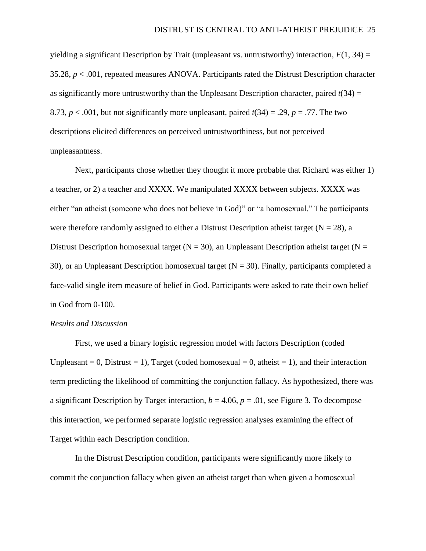yielding a significant Description by Trait (unpleasant vs. untrustworthy) interaction,  $F(1, 34) =$ 35.28, *p* < .001, repeated measures ANOVA. Participants rated the Distrust Description character as significantly more untrustworthy than the Unpleasant Description character, paired  $t(34)$  = 8.73,  $p < .001$ , but not significantly more unpleasant, paired  $t(34) = .29$ ,  $p = .77$ . The two descriptions elicited differences on perceived untrustworthiness, but not perceived unpleasantness.

Next, participants chose whether they thought it more probable that Richard was either 1) a teacher, or 2) a teacher and XXXX. We manipulated XXXX between subjects. XXXX was either "an atheist (someone who does not believe in God)" or "a homosexual." The participants were therefore randomly assigned to either a Distrust Description atheist target ( $N = 28$ ), a Distrust Description homosexual target ( $N = 30$ ), an Unpleasant Description atheist target ( $N =$ 30), or an Unpleasant Description homosexual target  $(N = 30)$ . Finally, participants completed a face-valid single item measure of belief in God. Participants were asked to rate their own belief in God from 0-100.

## *Results and Discussion*

First, we used a binary logistic regression model with factors Description (coded Unpleasant = 0, Distrust = 1), Target (coded homosexual = 0, atheist = 1), and their interaction term predicting the likelihood of committing the conjunction fallacy. As hypothesized, there was a significant Description by Target interaction,  $b = 4.06$ ,  $p = .01$ , see Figure 3. To decompose this interaction, we performed separate logistic regression analyses examining the effect of Target within each Description condition.

In the Distrust Description condition, participants were significantly more likely to commit the conjunction fallacy when given an atheist target than when given a homosexual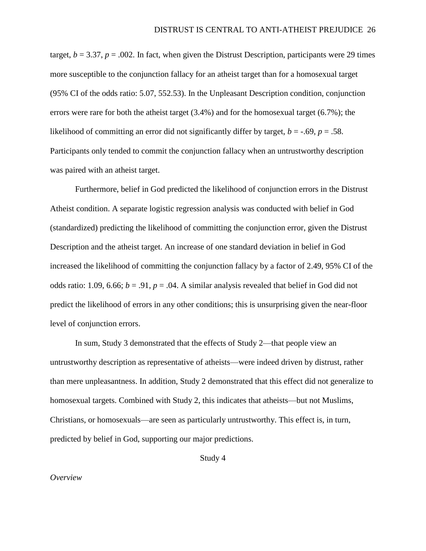target,  $b = 3.37$ ,  $p = .002$ . In fact, when given the Distrust Description, participants were 29 times more susceptible to the conjunction fallacy for an atheist target than for a homosexual target (95% CI of the odds ratio: 5.07, 552.53). In the Unpleasant Description condition, conjunction errors were rare for both the atheist target (3.4%) and for the homosexual target (6.7%); the likelihood of committing an error did not significantly differ by target,  $b = -.69$ ,  $p = .58$ . Participants only tended to commit the conjunction fallacy when an untrustworthy description was paired with an atheist target.

Furthermore, belief in God predicted the likelihood of conjunction errors in the Distrust Atheist condition. A separate logistic regression analysis was conducted with belief in God (standardized) predicting the likelihood of committing the conjunction error, given the Distrust Description and the atheist target. An increase of one standard deviation in belief in God increased the likelihood of committing the conjunction fallacy by a factor of 2.49, 95% CI of the odds ratio: 1.09, 6.66;  $b = .91$ ,  $p = .04$ . A similar analysis revealed that belief in God did not predict the likelihood of errors in any other conditions; this is unsurprising given the near-floor level of conjunction errors.

In sum, Study 3 demonstrated that the effects of Study 2—that people view an untrustworthy description as representative of atheists—were indeed driven by distrust, rather than mere unpleasantness. In addition, Study 2 demonstrated that this effect did not generalize to homosexual targets. Combined with Study 2, this indicates that atheists—but not Muslims, Christians, or homosexuals—are seen as particularly untrustworthy. This effect is, in turn, predicted by belief in God, supporting our major predictions.

Study 4

#### *Overview*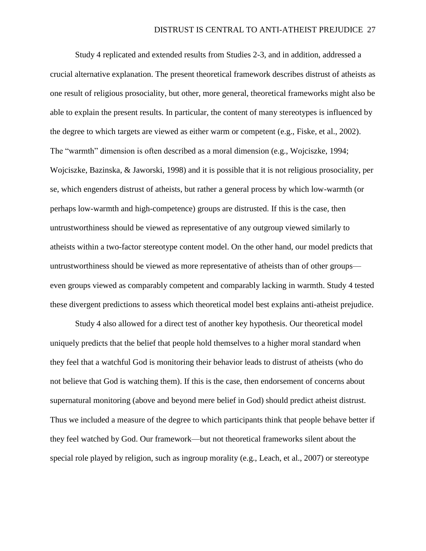Study 4 replicated and extended results from Studies 2-3, and in addition, addressed a crucial alternative explanation. The present theoretical framework describes distrust of atheists as one result of religious prosociality, but other, more general, theoretical frameworks might also be able to explain the present results. In particular, the content of many stereotypes is influenced by the degree to which targets are viewed as either warm or competent (e.g., Fiske, et al., 2002). The "warmth" dimension is often described as a moral dimension (e.g., Wojciszke, 1994; Wojciszke, Bazinska, & Jaworski, 1998) and it is possible that it is not religious prosociality, per se, which engenders distrust of atheists, but rather a general process by which low-warmth (or perhaps low-warmth and high-competence) groups are distrusted. If this is the case, then untrustworthiness should be viewed as representative of any outgroup viewed similarly to atheists within a two-factor stereotype content model. On the other hand, our model predicts that untrustworthiness should be viewed as more representative of atheists than of other groups even groups viewed as comparably competent and comparably lacking in warmth. Study 4 tested these divergent predictions to assess which theoretical model best explains anti-atheist prejudice.

Study 4 also allowed for a direct test of another key hypothesis. Our theoretical model uniquely predicts that the belief that people hold themselves to a higher moral standard when they feel that a watchful God is monitoring their behavior leads to distrust of atheists (who do not believe that God is watching them). If this is the case, then endorsement of concerns about supernatural monitoring (above and beyond mere belief in God) should predict atheist distrust. Thus we included a measure of the degree to which participants think that people behave better if they feel watched by God. Our framework—but not theoretical frameworks silent about the special role played by religion, such as ingroup morality (e.g., Leach, et al., 2007) or stereotype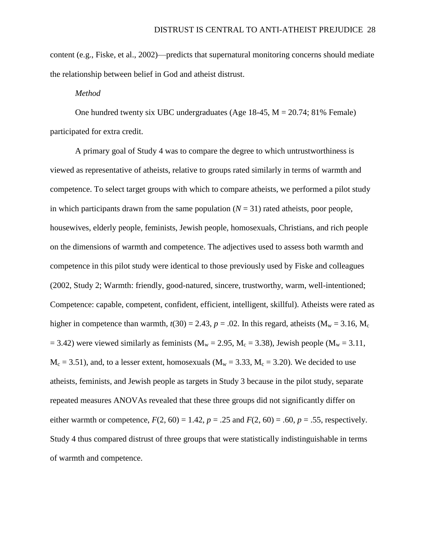content (e.g., Fiske, et al., 2002)—predicts that supernatural monitoring concerns should mediate the relationship between belief in God and atheist distrust.

#### *Method*

One hundred twenty six UBC undergraduates (Age  $18-45$ , M = 20.74; 81% Female) participated for extra credit.

A primary goal of Study 4 was to compare the degree to which untrustworthiness is viewed as representative of atheists, relative to groups rated similarly in terms of warmth and competence. To select target groups with which to compare atheists, we performed a pilot study in which participants drawn from the same population  $(N = 31)$  rated atheists, poor people, housewives, elderly people, feminists, Jewish people, homosexuals, Christians, and rich people on the dimensions of warmth and competence. The adjectives used to assess both warmth and competence in this pilot study were identical to those previously used by Fiske and colleagues (2002, Study 2; Warmth: friendly, good-natured, sincere, trustworthy, warm, well-intentioned; Competence: capable, competent, confident, efficient, intelligent, skillful). Atheists were rated as higher in competence than warmth,  $t(30) = 2.43$ ,  $p = .02$ . In this regard, atheists ( $M_w = 3.16$ ,  $M_c$  $= 3.42$ ) were viewed similarly as feminists (M<sub>w</sub> = 2.95, M<sub>c</sub> = 3.38), Jewish people (M<sub>w</sub> = 3.11,  $M_c = 3.51$ ), and, to a lesser extent, homosexuals ( $M_w = 3.33$ ,  $M_c = 3.20$ ). We decided to use atheists, feminists, and Jewish people as targets in Study 3 because in the pilot study, separate repeated measures ANOVAs revealed that these three groups did not significantly differ on either warmth or competence,  $F(2, 60) = 1.42$ ,  $p = .25$  and  $F(2, 60) = .60$ ,  $p = .55$ , respectively. Study 4 thus compared distrust of three groups that were statistically indistinguishable in terms of warmth and competence.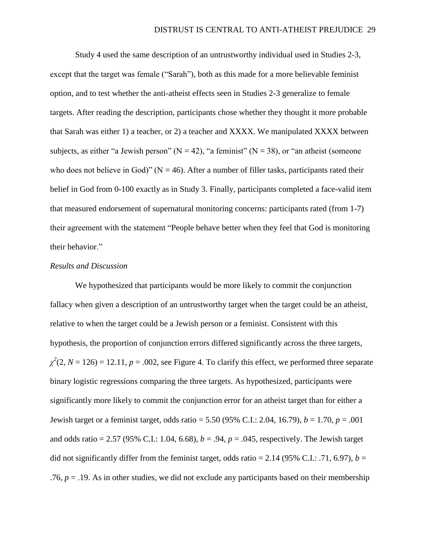Study 4 used the same description of an untrustworthy individual used in Studies 2-3, except that the target was female ("Sarah"), both as this made for a more believable feminist option, and to test whether the anti-atheist effects seen in Studies 2-3 generalize to female targets. After reading the description, participants chose whether they thought it more probable that Sarah was either 1) a teacher, or 2) a teacher and XXXX. We manipulated XXXX between subjects, as either "a Jewish person" ( $N = 42$ ), "a feminist" ( $N = 38$ ), or "an atheist (someone who does not believe in God)" ( $N = 46$ ). After a number of filler tasks, participants rated their belief in God from 0-100 exactly as in Study 3. Finally, participants completed a face-valid item that measured endorsement of supernatural monitoring concerns: participants rated (from 1-7) their agreement with the statement "People behave better when they feel that God is monitoring their behavior."

# *Results and Discussion*

We hypothesized that participants would be more likely to commit the conjunction fallacy when given a description of an untrustworthy target when the target could be an atheist, relative to when the target could be a Jewish person or a feminist. Consistent with this hypothesis, the proportion of conjunction errors differed significantly across the three targets,  $\chi^2(2, N = 126) = 12.11$ , *p* = .002, see Figure 4. To clarify this effect, we performed three separate binary logistic regressions comparing the three targets. As hypothesized, participants were significantly more likely to commit the conjunction error for an atheist target than for either a Jewish target or a feminist target, odds ratio = 5.50 (95% C.I.: 2.04, 16.79), *b* = 1.70, *p* = .001 and odds ratio = 2.57 (95% C.I.: 1.04, 6.68),  $b = .94$ ,  $p = .045$ , respectively. The Jewish target did not significantly differ from the feminist target, odds ratio = 2.14 (95% C.I.: .71, 6.97),  $b =$ .76,  $p = 0.19$ . As in other studies, we did not exclude any participants based on their membership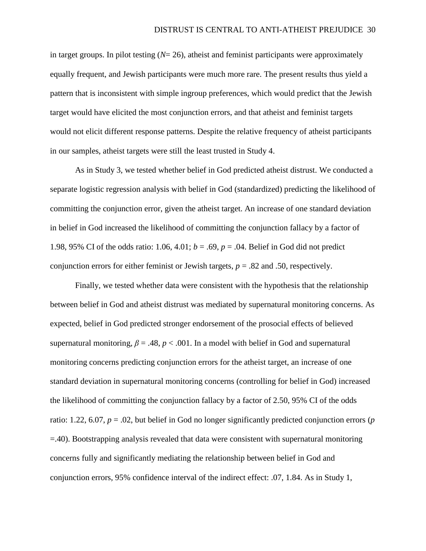in target groups. In pilot testing  $(N=26)$ , atheist and feminist participants were approximately equally frequent, and Jewish participants were much more rare. The present results thus yield a pattern that is inconsistent with simple ingroup preferences, which would predict that the Jewish target would have elicited the most conjunction errors, and that atheist and feminist targets would not elicit different response patterns. Despite the relative frequency of atheist participants in our samples, atheist targets were still the least trusted in Study 4.

As in Study 3, we tested whether belief in God predicted atheist distrust. We conducted a separate logistic regression analysis with belief in God (standardized) predicting the likelihood of committing the conjunction error, given the atheist target. An increase of one standard deviation in belief in God increased the likelihood of committing the conjunction fallacy by a factor of 1.98, 95% CI of the odds ratio: 1.06, 4.01; *b* = .69, *p* = .04. Belief in God did not predict conjunction errors for either feminist or Jewish targets, *p* = .82 and .50, respectively.

Finally, we tested whether data were consistent with the hypothesis that the relationship between belief in God and atheist distrust was mediated by supernatural monitoring concerns. As expected, belief in God predicted stronger endorsement of the prosocial effects of believed supernatural monitoring,  $\beta = .48$ ,  $p < .001$ . In a model with belief in God and supernatural monitoring concerns predicting conjunction errors for the atheist target, an increase of one standard deviation in supernatural monitoring concerns (controlling for belief in God) increased the likelihood of committing the conjunction fallacy by a factor of 2.50, 95% CI of the odds ratio: 1.22, 6.07,  $p = 0.02$ , but belief in God no longer significantly predicted conjunction errors (*p*) =.40). Bootstrapping analysis revealed that data were consistent with supernatural monitoring concerns fully and significantly mediating the relationship between belief in God and conjunction errors, 95% confidence interval of the indirect effect: .07, 1.84. As in Study 1,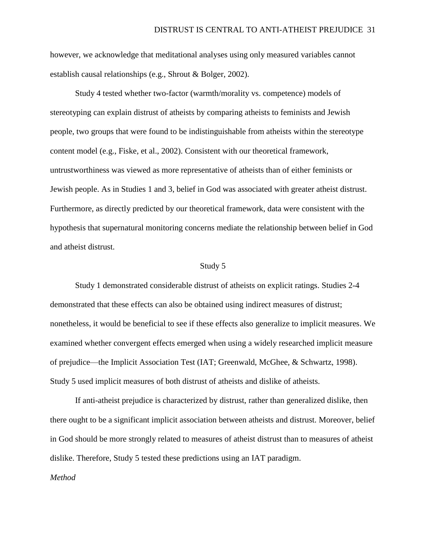however, we acknowledge that meditational analyses using only measured variables cannot establish causal relationships (e.g., Shrout & Bolger, 2002).

Study 4 tested whether two-factor (warmth/morality vs. competence) models of stereotyping can explain distrust of atheists by comparing atheists to feminists and Jewish people, two groups that were found to be indistinguishable from atheists within the stereotype content model (e.g., Fiske, et al., 2002). Consistent with our theoretical framework, untrustworthiness was viewed as more representative of atheists than of either feminists or Jewish people. As in Studies 1 and 3, belief in God was associated with greater atheist distrust. Furthermore, as directly predicted by our theoretical framework, data were consistent with the hypothesis that supernatural monitoring concerns mediate the relationship between belief in God and atheist distrust.

## Study 5

Study 1 demonstrated considerable distrust of atheists on explicit ratings. Studies 2-4 demonstrated that these effects can also be obtained using indirect measures of distrust; nonetheless, it would be beneficial to see if these effects also generalize to implicit measures. We examined whether convergent effects emerged when using a widely researched implicit measure of prejudice—the Implicit Association Test (IAT; Greenwald, McGhee, & Schwartz, 1998). Study 5 used implicit measures of both distrust of atheists and dislike of atheists.

If anti-atheist prejudice is characterized by distrust, rather than generalized dislike, then there ought to be a significant implicit association between atheists and distrust. Moreover, belief in God should be more strongly related to measures of atheist distrust than to measures of atheist dislike. Therefore, Study 5 tested these predictions using an IAT paradigm.

*Method*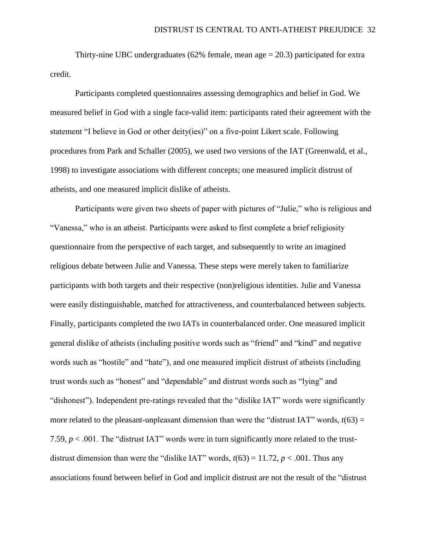Thirty-nine UBC undergraduates (62% female, mean age  $= 20.3$ ) participated for extra credit.

Participants completed questionnaires assessing demographics and belief in God. We measured belief in God with a single face-valid item: participants rated their agreement with the statement "I believe in God or other deity(ies)" on a five-point Likert scale. Following procedures from Park and Schaller (2005), we used two versions of the IAT (Greenwald, et al., 1998) to investigate associations with different concepts; one measured implicit distrust of atheists, and one measured implicit dislike of atheists.

Participants were given two sheets of paper with pictures of "Julie," who is religious and "Vanessa," who is an atheist. Participants were asked to first complete a brief religiosity questionnaire from the perspective of each target, and subsequently to write an imagined religious debate between Julie and Vanessa. These steps were merely taken to familiarize participants with both targets and their respective (non)religious identities. Julie and Vanessa were easily distinguishable, matched for attractiveness, and counterbalanced between subjects. Finally, participants completed the two IATs in counterbalanced order. One measured implicit general dislike of atheists (including positive words such as "friend" and "kind" and negative words such as "hostile" and "hate"), and one measured implicit distrust of atheists (including trust words such as "honest" and "dependable" and distrust words such as "lying" and "dishonest"). Independent pre-ratings revealed that the "dislike IAT" words were significantly more related to the pleasant-unpleasant dimension than were the "distrust IAT" words,  $t(63) =$ 7.59,  $p < .001$ . The "distrust IAT" words were in turn significantly more related to the trustdistrust dimension than were the "dislike IAT" words,  $t(63) = 11.72$ ,  $p < .001$ . Thus any associations found between belief in God and implicit distrust are not the result of the "distrust"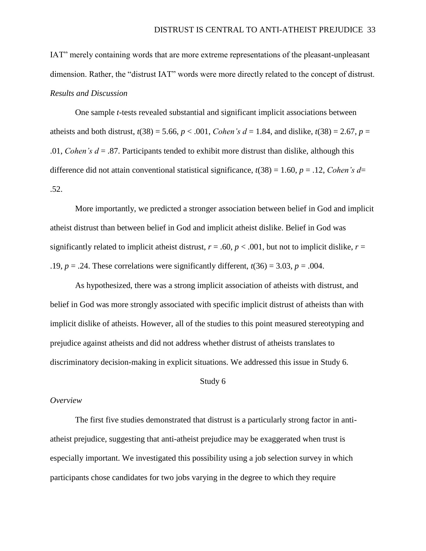IAT" merely containing words that are more extreme representations of the pleasant-unpleasant dimension. Rather, the "distrust IAT" words were more directly related to the concept of distrust. *Results and Discussion*

One sample *t*-tests revealed substantial and significant implicit associations between atheists and both distrust,  $t(38) = 5.66$ ,  $p < .001$ , *Cohen's d* = 1.84, and dislike,  $t(38) = 2.67$ ,  $p =$ .01, *Cohen's d* = .87. Participants tended to exhibit more distrust than dislike, although this difference did not attain conventional statistical significance,  $t(38) = 1.60$ ,  $p = .12$ , *Cohen's d*= .52.

More importantly, we predicted a stronger association between belief in God and implicit atheist distrust than between belief in God and implicit atheist dislike. Belief in God was significantly related to implicit atheist distrust,  $r = .60$ ,  $p < .001$ , but not to implicit dislike,  $r =$ .19,  $p = .24$ . These correlations were significantly different,  $t(36) = 3.03$ ,  $p = .004$ .

As hypothesized, there was a strong implicit association of atheists with distrust, and belief in God was more strongly associated with specific implicit distrust of atheists than with implicit dislike of atheists. However, all of the studies to this point measured stereotyping and prejudice against atheists and did not address whether distrust of atheists translates to discriminatory decision-making in explicit situations. We addressed this issue in Study 6.

# Study 6

## *Overview*

The first five studies demonstrated that distrust is a particularly strong factor in antiatheist prejudice, suggesting that anti-atheist prejudice may be exaggerated when trust is especially important. We investigated this possibility using a job selection survey in which participants chose candidates for two jobs varying in the degree to which they require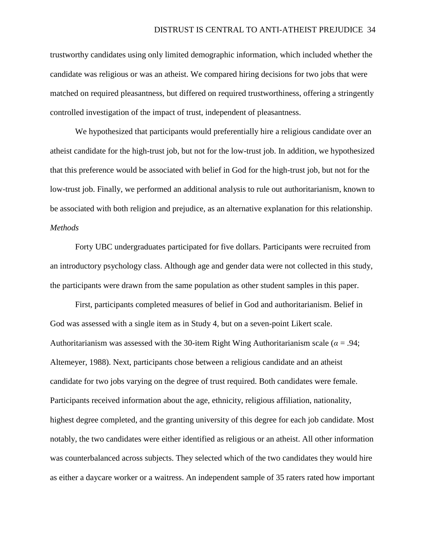trustworthy candidates using only limited demographic information, which included whether the candidate was religious or was an atheist. We compared hiring decisions for two jobs that were matched on required pleasantness, but differed on required trustworthiness, offering a stringently controlled investigation of the impact of trust, independent of pleasantness.

We hypothesized that participants would preferentially hire a religious candidate over an atheist candidate for the high-trust job, but not for the low-trust job. In addition, we hypothesized that this preference would be associated with belief in God for the high-trust job, but not for the low-trust job. Finally, we performed an additional analysis to rule out authoritarianism, known to be associated with both religion and prejudice, as an alternative explanation for this relationship. *Methods*

Forty UBC undergraduates participated for five dollars. Participants were recruited from an introductory psychology class. Although age and gender data were not collected in this study, the participants were drawn from the same population as other student samples in this paper.

First, participants completed measures of belief in God and authoritarianism. Belief in God was assessed with a single item as in Study 4, but on a seven-point Likert scale. Authoritarianism was assessed with the 30-item Right Wing Authoritarianism scale ( $\alpha$  = .94; Altemeyer, 1988). Next, participants chose between a religious candidate and an atheist candidate for two jobs varying on the degree of trust required. Both candidates were female. Participants received information about the age, ethnicity, religious affiliation, nationality, highest degree completed, and the granting university of this degree for each job candidate. Most notably, the two candidates were either identified as religious or an atheist. All other information was counterbalanced across subjects. They selected which of the two candidates they would hire as either a daycare worker or a waitress. An independent sample of 35 raters rated how important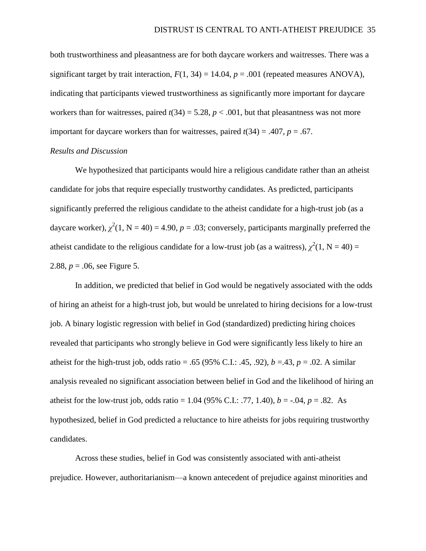both trustworthiness and pleasantness are for both daycare workers and waitresses. There was a significant target by trait interaction,  $F(1, 34) = 14.04$ ,  $p = .001$  (repeated measures ANOVA), indicating that participants viewed trustworthiness as significantly more important for daycare workers than for waitresses, paired  $t(34) = 5.28$ ,  $p < .001$ , but that pleasantness was not more important for daycare workers than for waitresses, paired *t*(34) = .407, *p* = .67.

# *Results and Discussion*

We hypothesized that participants would hire a religious candidate rather than an atheist candidate for jobs that require especially trustworthy candidates. As predicted, participants significantly preferred the religious candidate to the atheist candidate for a high-trust job (as a daycare worker),  $\chi^2(1, N = 40) = 4.90$ ,  $p = .03$ ; conversely, participants marginally preferred the atheist candidate to the religious candidate for a low-trust job (as a waitress),  $\chi^2(1, N = 40)$  = 2.88,  $p = .06$ , see Figure 5.

In addition, we predicted that belief in God would be negatively associated with the odds of hiring an atheist for a high-trust job, but would be unrelated to hiring decisions for a low-trust job. A binary logistic regression with belief in God (standardized) predicting hiring choices revealed that participants who strongly believe in God were significantly less likely to hire an atheist for the high-trust job, odds ratio = .65 (95% C.I.: .45, .92),  $b = .43$ ,  $p = .02$ . A similar analysis revealed no significant association between belief in God and the likelihood of hiring an atheist for the low-trust job, odds ratio = 1.04 (95% C.I.: .77, 1.40),  $b = -.04$ ,  $p = .82$ . As hypothesized, belief in God predicted a reluctance to hire atheists for jobs requiring trustworthy candidates.

Across these studies, belief in God was consistently associated with anti-atheist prejudice. However, authoritarianism—a known antecedent of prejudice against minorities and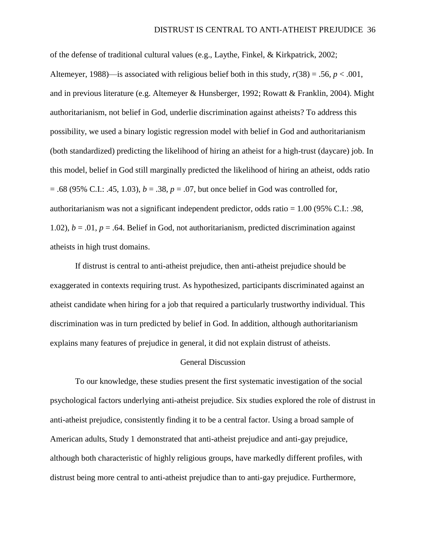of the defense of traditional cultural values (e.g., Laythe, Finkel, & Kirkpatrick, 2002; Altemeyer, 1988)—is associated with religious belief both in this study,  $r(38) = .56$ ,  $p < .001$ , and in previous literature (e.g. Altemeyer & Hunsberger, 1992; Rowatt & Franklin, 2004). Might authoritarianism, not belief in God, underlie discrimination against atheists? To address this possibility, we used a binary logistic regression model with belief in God and authoritarianism (both standardized) predicting the likelihood of hiring an atheist for a high-trust (daycare) job. In this model, belief in God still marginally predicted the likelihood of hiring an atheist, odds ratio = .68 (95% C.I.: .45, 1.03), *b* = .38, *p* = .07, but once belief in God was controlled for, authoritarianism was not a significant independent predictor, odds ratio = 1.00 (95% C.I.: .98, 1.02),  $b = .01$ ,  $p = .64$ . Belief in God, not authoritarianism, predicted discrimination against atheists in high trust domains.

If distrust is central to anti-atheist prejudice, then anti-atheist prejudice should be exaggerated in contexts requiring trust. As hypothesized, participants discriminated against an atheist candidate when hiring for a job that required a particularly trustworthy individual. This discrimination was in turn predicted by belief in God. In addition, although authoritarianism explains many features of prejudice in general, it did not explain distrust of atheists.

# General Discussion

To our knowledge, these studies present the first systematic investigation of the social psychological factors underlying anti-atheist prejudice. Six studies explored the role of distrust in anti-atheist prejudice, consistently finding it to be a central factor. Using a broad sample of American adults, Study 1 demonstrated that anti-atheist prejudice and anti-gay prejudice, although both characteristic of highly religious groups, have markedly different profiles, with distrust being more central to anti-atheist prejudice than to anti-gay prejudice. Furthermore,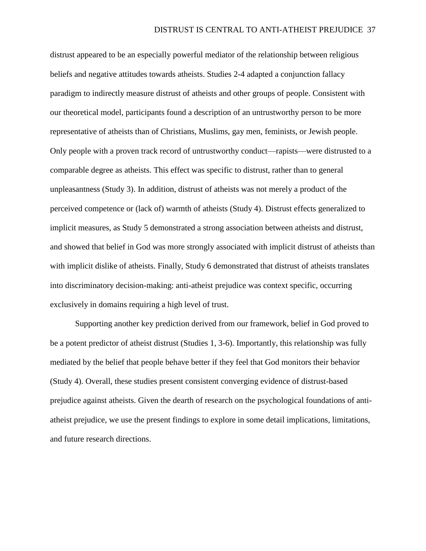distrust appeared to be an especially powerful mediator of the relationship between religious beliefs and negative attitudes towards atheists. Studies 2-4 adapted a conjunction fallacy paradigm to indirectly measure distrust of atheists and other groups of people. Consistent with our theoretical model, participants found a description of an untrustworthy person to be more representative of atheists than of Christians, Muslims, gay men, feminists, or Jewish people. Only people with a proven track record of untrustworthy conduct—rapists—were distrusted to a comparable degree as atheists. This effect was specific to distrust, rather than to general unpleasantness (Study 3). In addition, distrust of atheists was not merely a product of the perceived competence or (lack of) warmth of atheists (Study 4). Distrust effects generalized to implicit measures, as Study 5 demonstrated a strong association between atheists and distrust, and showed that belief in God was more strongly associated with implicit distrust of atheists than with implicit dislike of atheists. Finally, Study 6 demonstrated that distrust of atheists translates into discriminatory decision-making: anti-atheist prejudice was context specific, occurring exclusively in domains requiring a high level of trust.

Supporting another key prediction derived from our framework, belief in God proved to be a potent predictor of atheist distrust (Studies 1, 3-6). Importantly, this relationship was fully mediated by the belief that people behave better if they feel that God monitors their behavior (Study 4). Overall, these studies present consistent converging evidence of distrust-based prejudice against atheists. Given the dearth of research on the psychological foundations of antiatheist prejudice, we use the present findings to explore in some detail implications, limitations, and future research directions.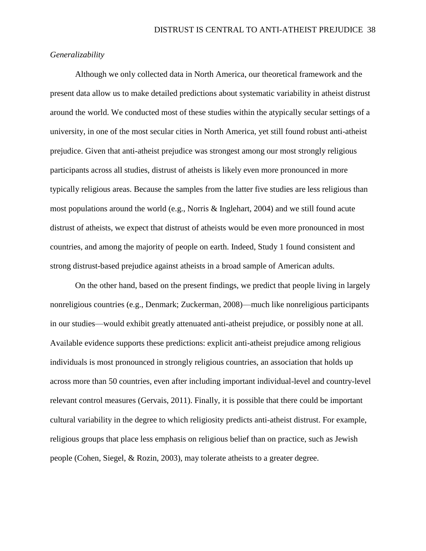# *Generalizability*

Although we only collected data in North America, our theoretical framework and the present data allow us to make detailed predictions about systematic variability in atheist distrust around the world. We conducted most of these studies within the atypically secular settings of a university, in one of the most secular cities in North America, yet still found robust anti-atheist prejudice. Given that anti-atheist prejudice was strongest among our most strongly religious participants across all studies, distrust of atheists is likely even more pronounced in more typically religious areas. Because the samples from the latter five studies are less religious than most populations around the world (e.g., Norris & Inglehart, 2004) and we still found acute distrust of atheists, we expect that distrust of atheists would be even more pronounced in most countries, and among the majority of people on earth. Indeed, Study 1 found consistent and strong distrust-based prejudice against atheists in a broad sample of American adults.

On the other hand, based on the present findings, we predict that people living in largely nonreligious countries (e.g., Denmark; Zuckerman, 2008)—much like nonreligious participants in our studies—would exhibit greatly attenuated anti-atheist prejudice, or possibly none at all. Available evidence supports these predictions: explicit anti-atheist prejudice among religious individuals is most pronounced in strongly religious countries, an association that holds up across more than 50 countries, even after including important individual-level and country-level relevant control measures (Gervais, 2011). Finally, it is possible that there could be important cultural variability in the degree to which religiosity predicts anti-atheist distrust. For example, religious groups that place less emphasis on religious belief than on practice, such as Jewish people (Cohen, Siegel, & Rozin, 2003), may tolerate atheists to a greater degree.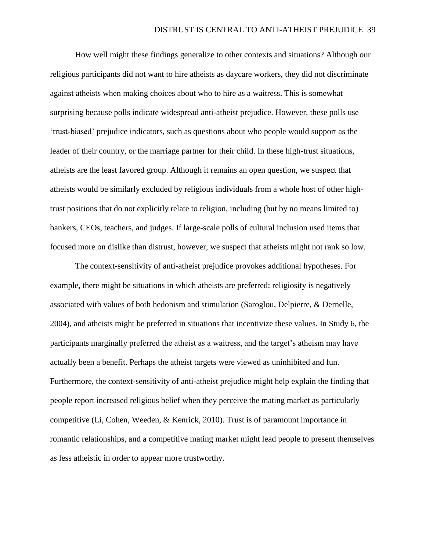How well might these findings generalize to other contexts and situations? Although our religious participants did not want to hire atheists as daycare workers, they did not discriminate against atheists when making choices about who to hire as a waitress. This is somewhat surprising because polls indicate widespread anti-atheist prejudice. However, these polls use ‗trust-biased' prejudice indicators, such as questions about who people would support as the leader of their country, or the marriage partner for their child. In these high-trust situations, atheists are the least favored group. Although it remains an open question, we suspect that atheists would be similarly excluded by religious individuals from a whole host of other hightrust positions that do not explicitly relate to religion, including (but by no means limited to) bankers, CEOs, teachers, and judges. If large-scale polls of cultural inclusion used items that focused more on dislike than distrust, however, we suspect that atheists might not rank so low.

The context-sensitivity of anti-atheist prejudice provokes additional hypotheses. For example, there might be situations in which atheists are preferred: religiosity is negatively associated with values of both hedonism and stimulation (Saroglou, Delpierre, & Dernelle, 2004), and atheists might be preferred in situations that incentivize these values. In Study 6, the participants marginally preferred the atheist as a waitress, and the target's atheism may have actually been a benefit. Perhaps the atheist targets were viewed as uninhibited and fun. Furthermore, the context-sensitivity of anti-atheist prejudice might help explain the finding that people report increased religious belief when they perceive the mating market as particularly competitive (Li, Cohen, Weeden, & Kenrick, 2010). Trust is of paramount importance in romantic relationships, and a competitive mating market might lead people to present themselves as less atheistic in order to appear more trustworthy.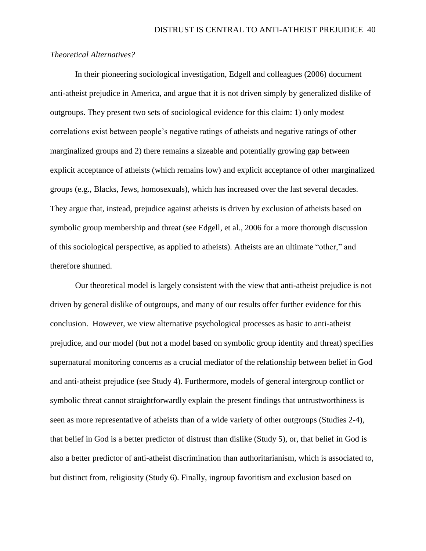# *Theoretical Alternatives?*

In their pioneering sociological investigation, Edgell and colleagues (2006) document anti-atheist prejudice in America, and argue that it is not driven simply by generalized dislike of outgroups. They present two sets of sociological evidence for this claim: 1) only modest correlations exist between people's negative ratings of atheists and negative ratings of other marginalized groups and 2) there remains a sizeable and potentially growing gap between explicit acceptance of atheists (which remains low) and explicit acceptance of other marginalized groups (e.g., Blacks, Jews, homosexuals), which has increased over the last several decades. They argue that, instead, prejudice against atheists is driven by exclusion of atheists based on symbolic group membership and threat (see Edgell, et al., 2006 for a more thorough discussion of this sociological perspective, as applied to atheists). Atheists are an ultimate "other," and therefore shunned.

Our theoretical model is largely consistent with the view that anti-atheist prejudice is not driven by general dislike of outgroups, and many of our results offer further evidence for this conclusion. However, we view alternative psychological processes as basic to anti-atheist prejudice, and our model (but not a model based on symbolic group identity and threat) specifies supernatural monitoring concerns as a crucial mediator of the relationship between belief in God and anti-atheist prejudice (see Study 4). Furthermore, models of general intergroup conflict or symbolic threat cannot straightforwardly explain the present findings that untrustworthiness is seen as more representative of atheists than of a wide variety of other outgroups (Studies 2-4), that belief in God is a better predictor of distrust than dislike (Study 5), or, that belief in God is also a better predictor of anti-atheist discrimination than authoritarianism, which is associated to, but distinct from, religiosity (Study 6). Finally, ingroup favoritism and exclusion based on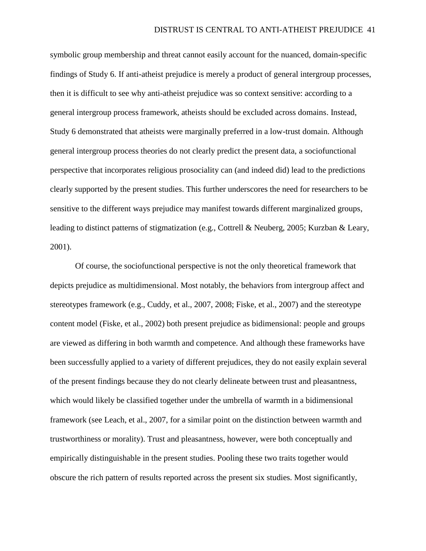symbolic group membership and threat cannot easily account for the nuanced, domain-specific findings of Study 6. If anti-atheist prejudice is merely a product of general intergroup processes, then it is difficult to see why anti-atheist prejudice was so context sensitive: according to a general intergroup process framework, atheists should be excluded across domains. Instead, Study 6 demonstrated that atheists were marginally preferred in a low-trust domain. Although general intergroup process theories do not clearly predict the present data, a sociofunctional perspective that incorporates religious prosociality can (and indeed did) lead to the predictions clearly supported by the present studies. This further underscores the need for researchers to be sensitive to the different ways prejudice may manifest towards different marginalized groups, leading to distinct patterns of stigmatization (e.g., Cottrell & Neuberg, 2005; Kurzban & Leary, 2001).

Of course, the sociofunctional perspective is not the only theoretical framework that depicts prejudice as multidimensional. Most notably, the behaviors from intergroup affect and stereotypes framework (e.g., Cuddy, et al., 2007, 2008; Fiske, et al., 2007) and the stereotype content model (Fiske, et al., 2002) both present prejudice as bidimensional: people and groups are viewed as differing in both warmth and competence. And although these frameworks have been successfully applied to a variety of different prejudices, they do not easily explain several of the present findings because they do not clearly delineate between trust and pleasantness, which would likely be classified together under the umbrella of warmth in a bidimensional framework (see Leach, et al., 2007, for a similar point on the distinction between warmth and trustworthiness or morality). Trust and pleasantness, however, were both conceptually and empirically distinguishable in the present studies. Pooling these two traits together would obscure the rich pattern of results reported across the present six studies. Most significantly,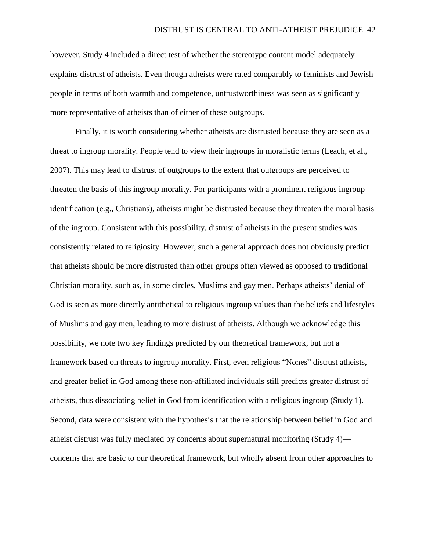however, Study 4 included a direct test of whether the stereotype content model adequately explains distrust of atheists. Even though atheists were rated comparably to feminists and Jewish people in terms of both warmth and competence, untrustworthiness was seen as significantly more representative of atheists than of either of these outgroups.

Finally, it is worth considering whether atheists are distrusted because they are seen as a threat to ingroup morality. People tend to view their ingroups in moralistic terms (Leach, et al., 2007). This may lead to distrust of outgroups to the extent that outgroups are perceived to threaten the basis of this ingroup morality. For participants with a prominent religious ingroup identification (e.g., Christians), atheists might be distrusted because they threaten the moral basis of the ingroup. Consistent with this possibility, distrust of atheists in the present studies was consistently related to religiosity. However, such a general approach does not obviously predict that atheists should be more distrusted than other groups often viewed as opposed to traditional Christian morality, such as, in some circles, Muslims and gay men. Perhaps atheists' denial of God is seen as more directly antithetical to religious ingroup values than the beliefs and lifestyles of Muslims and gay men, leading to more distrust of atheists. Although we acknowledge this possibility, we note two key findings predicted by our theoretical framework, but not a framework based on threats to ingroup morality. First, even religious "Nones" distrust atheists, and greater belief in God among these non-affiliated individuals still predicts greater distrust of atheists, thus dissociating belief in God from identification with a religious ingroup (Study 1). Second, data were consistent with the hypothesis that the relationship between belief in God and atheist distrust was fully mediated by concerns about supernatural monitoring (Study 4) concerns that are basic to our theoretical framework, but wholly absent from other approaches to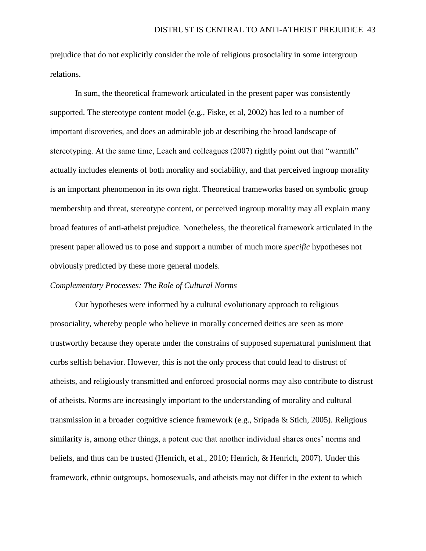prejudice that do not explicitly consider the role of religious prosociality in some intergroup relations.

In sum, the theoretical framework articulated in the present paper was consistently supported. The stereotype content model (e.g., Fiske, et al, 2002) has led to a number of important discoveries, and does an admirable job at describing the broad landscape of stereotyping. At the same time, Leach and colleagues (2007) rightly point out that "warmth" actually includes elements of both morality and sociability, and that perceived ingroup morality is an important phenomenon in its own right. Theoretical frameworks based on symbolic group membership and threat, stereotype content, or perceived ingroup morality may all explain many broad features of anti-atheist prejudice. Nonetheless, the theoretical framework articulated in the present paper allowed us to pose and support a number of much more *specific* hypotheses not obviously predicted by these more general models.

# *Complementary Processes: The Role of Cultural Norms*

Our hypotheses were informed by a cultural evolutionary approach to religious prosociality, whereby people who believe in morally concerned deities are seen as more trustworthy because they operate under the constrains of supposed supernatural punishment that curbs selfish behavior. However, this is not the only process that could lead to distrust of atheists, and religiously transmitted and enforced prosocial norms may also contribute to distrust of atheists. Norms are increasingly important to the understanding of morality and cultural transmission in a broader cognitive science framework (e.g., Sripada & Stich, 2005). Religious similarity is, among other things, a potent cue that another individual shares ones' norms and beliefs, and thus can be trusted (Henrich, et al., 2010; Henrich, & Henrich, 2007). Under this framework, ethnic outgroups, homosexuals, and atheists may not differ in the extent to which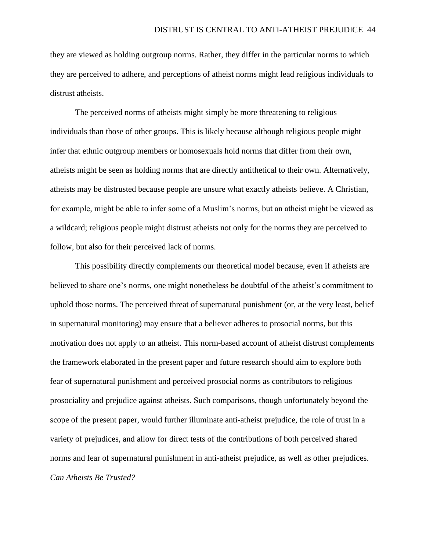they are viewed as holding outgroup norms. Rather, they differ in the particular norms to which they are perceived to adhere, and perceptions of atheist norms might lead religious individuals to distrust atheists.

The perceived norms of atheists might simply be more threatening to religious individuals than those of other groups. This is likely because although religious people might infer that ethnic outgroup members or homosexuals hold norms that differ from their own, atheists might be seen as holding norms that are directly antithetical to their own. Alternatively, atheists may be distrusted because people are unsure what exactly atheists believe. A Christian, for example, might be able to infer some of a Muslim's norms, but an atheist might be viewed as a wildcard; religious people might distrust atheists not only for the norms they are perceived to follow, but also for their perceived lack of norms.

This possibility directly complements our theoretical model because, even if atheists are believed to share one's norms, one might nonetheless be doubtful of the atheist's commitment to uphold those norms. The perceived threat of supernatural punishment (or, at the very least, belief in supernatural monitoring) may ensure that a believer adheres to prosocial norms, but this motivation does not apply to an atheist. This norm-based account of atheist distrust complements the framework elaborated in the present paper and future research should aim to explore both fear of supernatural punishment and perceived prosocial norms as contributors to religious prosociality and prejudice against atheists. Such comparisons, though unfortunately beyond the scope of the present paper, would further illuminate anti-atheist prejudice, the role of trust in a variety of prejudices, and allow for direct tests of the contributions of both perceived shared norms and fear of supernatural punishment in anti-atheist prejudice, as well as other prejudices. *Can Atheists Be Trusted?*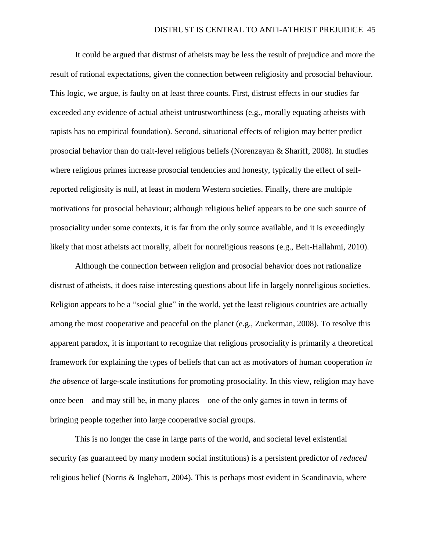It could be argued that distrust of atheists may be less the result of prejudice and more the result of rational expectations, given the connection between religiosity and prosocial behaviour. This logic, we argue, is faulty on at least three counts. First, distrust effects in our studies far exceeded any evidence of actual atheist untrustworthiness (e.g., morally equating atheists with rapists has no empirical foundation). Second, situational effects of religion may better predict prosocial behavior than do trait-level religious beliefs (Norenzayan & Shariff, 2008). In studies where religious primes increase prosocial tendencies and honesty, typically the effect of selfreported religiosity is null, at least in modern Western societies. Finally, there are multiple motivations for prosocial behaviour; although religious belief appears to be one such source of prosociality under some contexts, it is far from the only source available, and it is exceedingly likely that most atheists act morally, albeit for nonreligious reasons (e.g., Beit-Hallahmi, 2010).

Although the connection between religion and prosocial behavior does not rationalize distrust of atheists, it does raise interesting questions about life in largely nonreligious societies. Religion appears to be a "social glue" in the world, yet the least religious countries are actually among the most cooperative and peaceful on the planet (e.g., Zuckerman, 2008). To resolve this apparent paradox, it is important to recognize that religious prosociality is primarily a theoretical framework for explaining the types of beliefs that can act as motivators of human cooperation *in the absence* of large-scale institutions for promoting prosociality. In this view, religion may have once been—and may still be, in many places—one of the only games in town in terms of bringing people together into large cooperative social groups.

This is no longer the case in large parts of the world, and societal level existential security (as guaranteed by many modern social institutions) is a persistent predictor of *reduced* religious belief (Norris & Inglehart, 2004). This is perhaps most evident in Scandinavia, where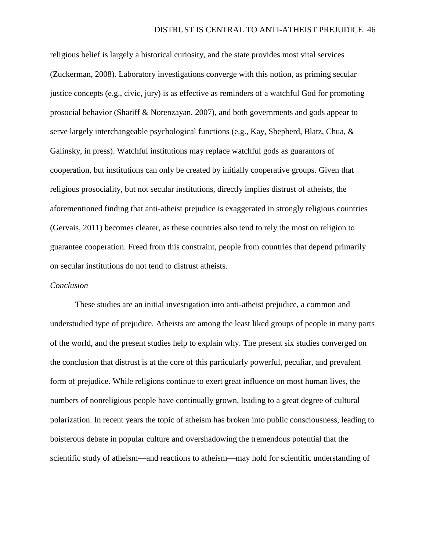religious belief is largely a historical curiosity, and the state provides most vital services (Zuckerman, 2008). Laboratory investigations converge with this notion, as priming secular justice concepts (e.g., civic, jury) is as effective as reminders of a watchful God for promoting prosocial behavior (Shariff & Norenzayan, 2007), and both governments and gods appear to serve largely interchangeable psychological functions (e.g., Kay, Shepherd, Blatz, Chua, & Galinsky, in press). Watchful institutions may replace watchful gods as guarantors of cooperation, but institutions can only be created by initially cooperative groups. Given that religious prosociality, but not secular institutions, directly implies distrust of atheists, the aforementioned finding that anti-atheist prejudice is exaggerated in strongly religious countries (Gervais, 2011) becomes clearer, as these countries also tend to rely the most on religion to guarantee cooperation. Freed from this constraint, people from countries that depend primarily on secular institutions do not tend to distrust atheists.

#### *Conclusion*

These studies are an initial investigation into anti-atheist prejudice, a common and understudied type of prejudice. Atheists are among the least liked groups of people in many parts of the world, and the present studies help to explain why. The present six studies converged on the conclusion that distrust is at the core of this particularly powerful, peculiar, and prevalent form of prejudice. While religions continue to exert great influence on most human lives, the numbers of nonreligious people have continually grown, leading to a great degree of cultural polarization. In recent years the topic of atheism has broken into public consciousness, leading to boisterous debate in popular culture and overshadowing the tremendous potential that the scientific study of atheism—and reactions to atheism—may hold for scientific understanding of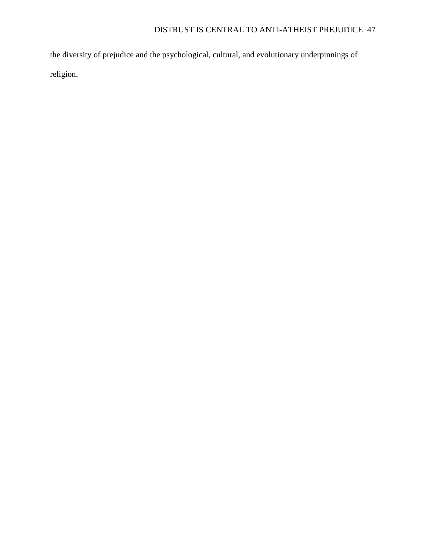# DISTRUST IS CENTRAL TO ANTI-ATHEIST PREJUDICE 47

the diversity of prejudice and the psychological, cultural, and evolutionary underpinnings of religion.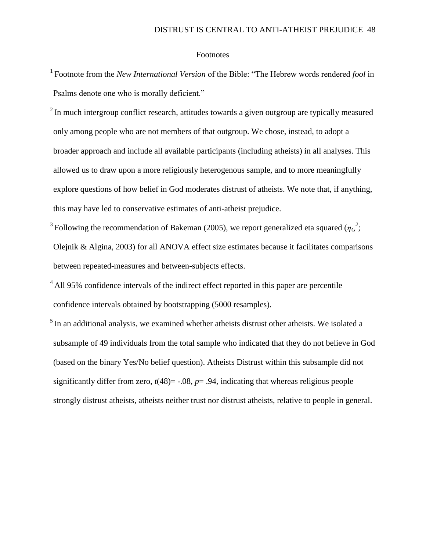# Footnotes

- <sup>1</sup> Footnote from the *New International Version* of the Bible: "The Hebrew words rendered *fool* in Psalms denote one who is morally deficient."
- $2$  In much intergroup conflict research, attitudes towards a given outgroup are typically measured only among people who are not members of that outgroup. We chose, instead, to adopt a broader approach and include all available participants (including atheists) in all analyses. This allowed us to draw upon a more religiously heterogenous sample, and to more meaningfully explore questions of how belief in God moderates distrust of atheists. We note that, if anything, this may have led to conservative estimates of anti-atheist prejudice.
- <sup>3</sup> Following the recommendation of Bakeman (2005), we report generalized eta squared ( $\eta_G^2$ ; Olejnik & Algina, 2003) for all ANOVA effect size estimates because it facilitates comparisons between repeated-measures and between-subjects effects.
- <sup>4</sup> All 95% confidence intervals of the indirect effect reported in this paper are percentile confidence intervals obtained by bootstrapping (5000 resamples).
- $<sup>5</sup>$  In an additional analysis, we examined whether atheists distrust other atheists. We isolated a</sup> subsample of 49 individuals from the total sample who indicated that they do not believe in God (based on the binary Yes/No belief question). Atheists Distrust within this subsample did not significantly differ from zero,  $t(48) = -0.08$ ,  $p = 0.94$ , indicating that whereas religious people strongly distrust atheists, atheists neither trust nor distrust atheists, relative to people in general.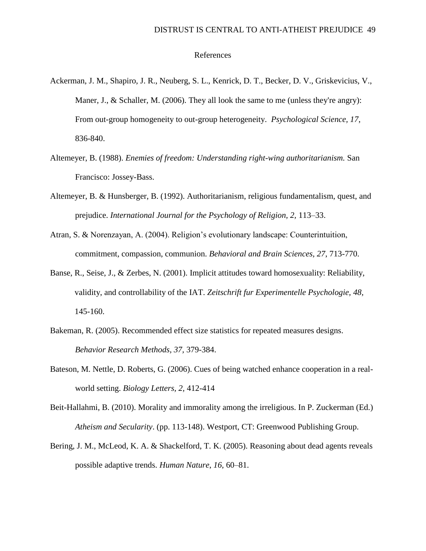# References

- Ackerman, J. M., Shapiro, J. R., Neuberg, S. L., Kenrick, D. T., Becker, D. V., Griskevicius, V., Maner, J., & Schaller, M. (2006). They all look the same to me (unless they're angry): From out-group homogeneity to out-group heterogeneity. *Psychological Science, 17*, 836-840.
- Altemeyer, B. (1988). *Enemies of freedom: Understanding right-wing authoritarianism.* San Francisco: Jossey-Bass.
- Altemeyer, B. & Hunsberger, B. (1992). Authoritarianism, religious fundamentalism, quest, and prejudice. *International Journal for the Psychology of Religion, 2,* 113–33.
- Atran, S. & Norenzayan, A. (2004). Religion's evolutionary landscape: Counterintuition, commitment, compassion, communion. *Behavioral and Brain Sciences, 27*, 713-770.
- Banse, R., Seise, J., & Zerbes, N. (2001). Implicit attitudes toward homosexuality: Reliability, validity, and controllability of the IAT. *Zeitschrift fur Experimentelle Psychologie, 48,*  145-160.
- Bakeman, R. (2005). Recommended effect size statistics for repeated measures designs. *Behavior Research Methods, 37,* 379-384.
- Bateson, M. Nettle, D. Roberts, G. (2006). Cues of being watched enhance cooperation in a realworld setting. *Biology Letters, 2,* 412-414
- Beit-Hallahmi, B. (2010). Morality and immorality among the irreligious. In P. Zuckerman (Ed.) *Atheism and Secularity*. (pp. 113-148). Westport, CT: Greenwood Publishing Group.
- Bering, J. M., McLeod, K. A. & Shackelford, T. K. (2005). Reasoning about dead agents reveals possible adaptive trends. *Human Nature*, *16*, 60–81.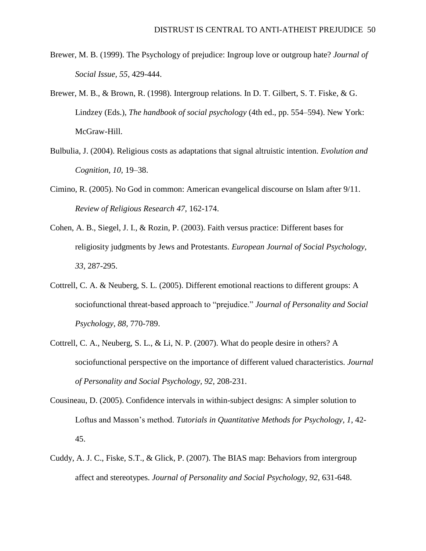- Brewer, M. B. (1999). The Psychology of prejudice: Ingroup love or outgroup hate? *Journal of Social Issue, 55,* 429-444.
- Brewer, M. B., & Brown, R. (1998). Intergroup relations. In D. T. Gilbert, S. T. Fiske, & G. Lindzey (Eds.), *The handbook of social psychology* (4th ed., pp. 554–594). New York: McGraw-Hill.
- Bulbulia, J. (2004). Religious costs as adaptations that signal altruistic intention. *Evolution and Cognition, 10,* 19–38.
- Cimino, R. (2005). No God in common: American evangelical discourse on Islam after 9/11. *Review of Religious Research 47*, 162-174.
- Cohen, A. B., Siegel, J. I., & Rozin, P. (2003). Faith versus practice: Different bases for religiosity judgments by Jews and Protestants. *European Journal of Social Psychology, 33,* 287-295.
- Cottrell, C. A. & Neuberg, S. L. (2005). Different emotional reactions to different groups: A sociofunctional threat-based approach to "prejudice." *Journal of Personality and Social Psychology, 88,* 770-789.
- Cottrell, C. A., Neuberg, S. L., & Li, N. P. (2007). What do people desire in others? A sociofunctional perspective on the importance of different valued characteristics. *Journal of Personality and Social Psychology, 92,* 208-231.
- Cousineau, D. (2005). Confidence intervals in within-subject designs: A simpler solution to Loftus and Masson's method. *Tutorials in Quantitative Methods for Psychology, 1, 42-*45.
- Cuddy, A. J. C., Fiske, S.T., & Glick, P. (2007). The BIAS map: Behaviors from intergroup affect and stereotypes. *Journal of Personality and Social Psychology, 92*, 631-648.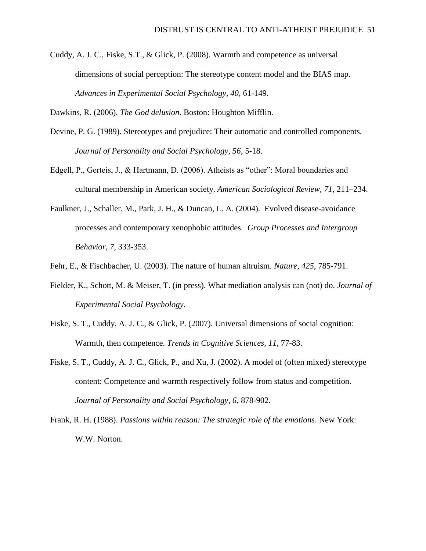Cuddy, A. J. C., Fiske, S.T., & Glick, P. (2008). Warmth and competence as universal dimensions of social perception: The stereotype content model and the BIAS map. *Advances in Experimental Social Psychology, 40,* 61-149.

Dawkins, R. (2006). *The God delusion.* Boston: Houghton Mifflin.

- Devine, P. G. (1989). Stereotypes and prejudice: Their automatic and controlled components. *Journal of Personality and Social Psychology, 56*, 5-18.
- Edgell, P., Gerteis, J., & Hartmann, D. (2006). Atheists as "other": Moral boundaries and cultural membership in American society. *American Sociological Review, 71*, 211–234.
- Faulkner, J., Schaller, M., Park, J. H., & Duncan, L. A. (2004). Evolved disease-avoidance processes and contemporary xenophobic attitudes. *Group Processes and Intergroup Behavior, 7*, 333-353.
- Fehr, E., & Fischbacher, U. (2003). The nature of human altruism. *Nature, 425*, 785-791.
- Fielder, K., Schott, M. & Meiser, T. (in press). What mediation analysis can (not) do. *Journal of Experimental Social Psychology*.
- Fiske, S. T., Cuddy, A. J. C., & Glick, P. (2007). Universal dimensions of social cognition: Warmth, then competence. *Trends in Cognitive Sciences, 11,* 77-83.
- Fiske, S. T., Cuddy, A. J. C., Glick, P., and Xu, J. (2002). A model of (often mixed) stereotype content: Competence and warmth respectively follow from status and competition. *Journal of Personality and Social Psychology, 6,* 878-902.
- Frank, R. H. (1988). *Passions within reason: The strategic role of the emotions*. New York: W.W. Norton.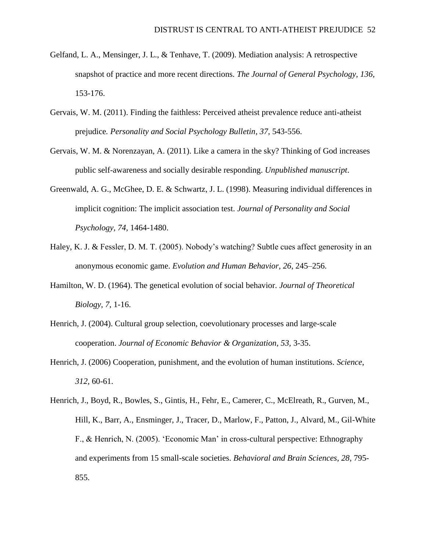- Gelfand, L. A., Mensinger, J. L., & Tenhave, T. (2009). Mediation analysis: A retrospective snapshot of practice and more recent directions. *The Journal of General Psychology, 136,*  153-176.
- Gervais, W. M. (2011). Finding the faithless: Perceived atheist prevalence reduce anti-atheist prejudice*. Personality and Social Psychology Bulletin, 37,* 543-556.
- Gervais, W. M. & Norenzayan, A. (2011). Like a camera in the sky? Thinking of God increases public self-awareness and socially desirable responding. *Unpublished manuscript*.
- Greenwald, A. G., McGhee, D. E. & Schwartz, J. L. (1998). Measuring individual differences in implicit cognition: The implicit association test. *Journal of Personality and Social Psychology, 74,* 1464-1480.
- Haley, K. J. & Fessler, D. M. T. (2005). Nobody's watching? Subtle cues affect generosity in an anonymous economic game. *Evolution and Human Behavior, 26*, 245–256.
- Hamilton, W. D. (1964). The genetical evolution of social behavior. *Journal of Theoretical Biology, 7,* 1-16.
- Henrich, J. (2004). Cultural group selection, coevolutionary processes and large-scale cooperation. *Journal of Economic Behavior & Organization, 53,* 3-35.
- Henrich, J. (2006) Cooperation, punishment, and the evolution of human institutions. *Science*, *312,* 60-61.
- Henrich, J., Boyd, R., Bowles, S., Gintis, H., Fehr, E., Camerer, C., McElreath, R., Gurven, M., Hill, K., Barr, A., Ensminger, J., Tracer, D., Marlow, F., Patton, J., Alvard, M., Gil-White F., & Henrich, N. (2005). ‗Economic Man' in cross-cultural perspective: Ethnography and experiments from 15 small-scale societies. *Behavioral and Brain Sciences, 28,* 795- 855.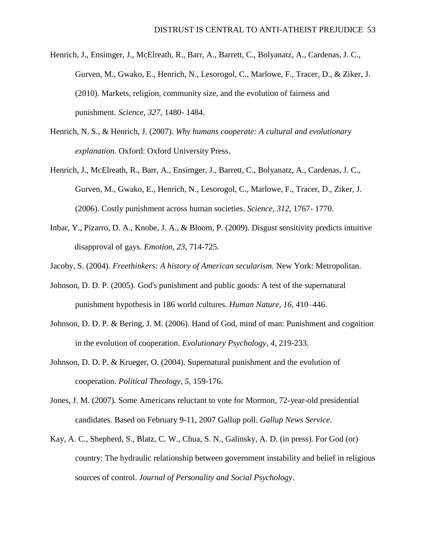- Henrich, J., Ensimger, J., McElreath, R., Barr, A., Barrett, C., Bolyanatz, A., Cardenas, J. C., Gurven, M., Gwako, E., Henrich, N., Lesorogol, C., Marlowe, F., Tracer, D., & Ziker, J. (2010). Markets, religion, community size, and the evolution of fairness and punishment. *Science, 327*, 1480- 1484.
- Henrich, N. S., & Henrich, J. (2007). *Why humans cooperate: A cultural and evolutionary explanation.* Oxford: Oxford University Press.
- Henrich, J., McElreath, R., Barr, A., Ensimger, J., Barrett, C., Bolyanatz, A., Cardenas, J. C., Gurven, M., Gwako, E., Henrich, N., Lesorogol, C., Marlowe, F., Tracer, D., Ziker, J. (2006). Costly punishment across human societies. *Science, 312*, 1767- 1770.
- Inbar, Y., Pizarro, D. A., Knobe, J. A., & Bloom, P. (2009). Disgust sensitivity predicts intuitive disapproval of gays. *Emotion, 23,* 714-725.
- Jacoby, S. (2004). *Freethinkers: A history of American secularism.* New York: Metropolitan.
- Johnson, D. D. P. (2005). God's punishment and public goods: A test of the supernatural punishment hypothesis in 186 world cultures. *Human Nature, 16,* 410–446.
- Johnson, D. D. P. & Bering, J. M. (2006). Hand of God, mind of man: Punishment and cognition in the evolution of cooperation. *Evolutionary Psychology, 4,* 219-233.
- Johnson, D. D. P. & Krueger, O. (2004). Supernatural punishment and the evolution of cooperation. *Political Theology, 5*, 159-176.
- Jones, J. M. (2007). Some Americans reluctant to vote for Mormon, 72-year-old presidential candidates. Based on February 9-11, 2007 Gallup poll. *Gallup News Service*.
- Kay, A. C., Shepherd, S., Blatz, C. W., Chua, S. N., Galinsky, A. D. (in press). For God (or) country: The hydraulic relationship between government instability and belief in religious sources of control. *Journal of Personality and Social Psychology*.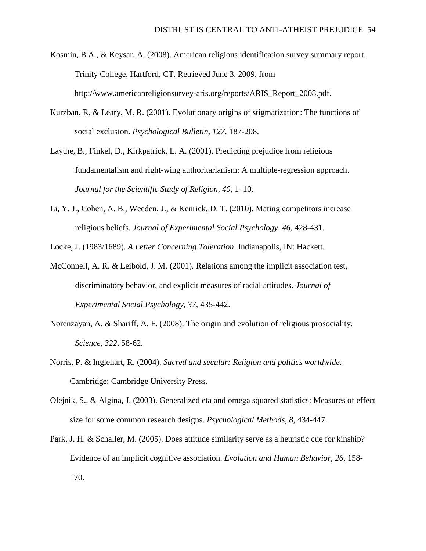- Kosmin, B.A., & Keysar, A. (2008). American religious identification survey summary report. Trinity College, Hartford, CT. Retrieved June 3, 2009, from http://www.americanreligionsurvey-aris.org/reports/ARIS\_Report\_2008.pdf.
- Kurzban, R. & Leary, M. R. (2001). Evolutionary origins of stigmatization: The functions of social exclusion. *Psychological Bulletin, 127,* 187-208.
- Laythe, B., Finkel, D., Kirkpatrick, L. A. (2001). Predicting prejudice from religious fundamentalism and right-wing authoritarianism: A multiple-regression approach. *Journal for the Scientific Study of Religion*, *40*, 1–10.
- Li, Y. J., Cohen, A. B., Weeden, J., & Kenrick, D. T. (2010). Mating competitors increase religious beliefs. *Journal of Experimental Social Psychology, 46,* 428-431.

Locke, J. (1983/1689). *A Letter Concerning Toleration*. Indianapolis, IN: Hackett.

- McConnell, A. R. & Leibold, J. M. (2001). Relations among the implicit association test, discriminatory behavior, and explicit measures of racial attitudes. *Journal of Experimental Social Psychology, 37,* 435-442.
- Norenzayan, A. & Shariff, A. F. (2008). The origin and evolution of religious prosociality. *Science, 322*, 58-62.
- Norris, P. & Inglehart, R. (2004). *Sacred and secular: Religion and politics worldwide*. Cambridge: Cambridge University Press.
- Olejnik, S., & Algina, J. (2003). Generalized eta and omega squared statistics: Measures of effect size for some common research designs. *Psychological Methods*, *8*, 434-447.
- Park, J. H. & Schaller, M. (2005). Does attitude similarity serve as a heuristic cue for kinship? Evidence of an implicit cognitive association. *Evolution and Human Behavior, 26,* 158- 170.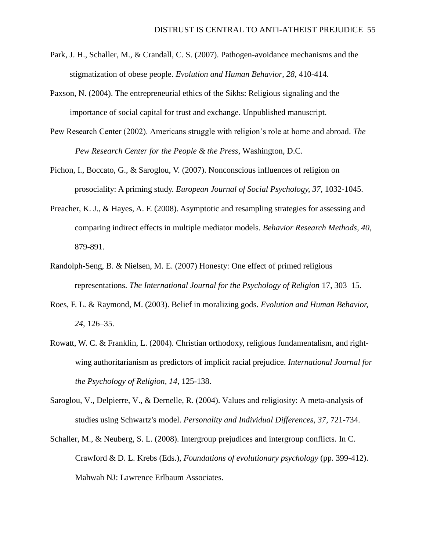- Park, J. H., Schaller, M., & Crandall, C. S. (2007). Pathogen-avoidance mechanisms and the stigmatization of obese people. *Evolution and Human Behavior, 28,* 410-414.
- Paxson, N. (2004). The entrepreneurial ethics of the Sikhs: Religious signaling and the importance of social capital for trust and exchange. Unpublished manuscript.
- Pew Research Center (2002). Americans struggle with religion's role at home and abroad. *The Pew Research Center for the People & the Press*, Washington, D.C.
- Pichon, I., Boccato, G., & Saroglou, V. (2007). Nonconscious influences of religion on prosociality: A priming study. *European Journal of Social Psychology, 37,* 1032-1045.
- Preacher, K. J., & Hayes, A. F. (2008). Asymptotic and resampling strategies for assessing and comparing indirect effects in multiple mediator models. *Behavior Research Methods, 40*, 879-891.
- Randolph-Seng, B. & Nielsen, M. E. (2007) Honesty: One effect of primed religious representations. *The International Journal for the Psychology of Religion* 17, 303–15.
- Roes, F. L. & Raymond, M. (2003). Belief in moralizing gods. *Evolution and Human Behavior, 24*, 126–35.
- Rowatt, W. C. & Franklin, L. (2004). Christian orthodoxy, religious fundamentalism, and rightwing authoritarianism as predictors of implicit racial prejudice. *International Journal for the Psychology of Religion, 14*, 125-138.
- Saroglou, V., Delpierre, V., & Dernelle, R. (2004). Values and religiosity: A meta-analysis of studies using Schwartz's model. *Personality and Individual Differences, 37*, 721-734.
- Schaller, M., & Neuberg, S. L. (2008). Intergroup prejudices and intergroup conflicts. In C. Crawford & D. L. Krebs (Eds.), *Foundations of evolutionary psychology* (pp. 399-412). Mahwah NJ: Lawrence Erlbaum Associates.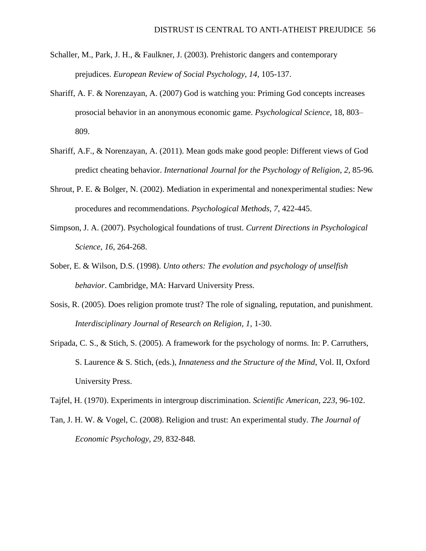- Schaller, M., Park, J. H., & Faulkner, J. (2003). Prehistoric dangers and contemporary prejudices. *European Review of Social Psychology, 14,* 105-137.
- Shariff, A. F. & Norenzayan, A. (2007) God is watching you: Priming God concepts increases prosocial behavior in an anonymous economic game. *Psychological Science,* 18, 803– 809.
- Shariff, A.F., & Norenzayan, A. (2011). Mean gods make good people: Different views of God predict cheating behavior. *International Journal for the Psychology of Religion, 2,* 85-96*.*
- Shrout, P. E. & Bolger, N. (2002). Mediation in experimental and nonexperimental studies: New procedures and recommendations. *Psychological Methods, 7,* 422-445.
- Simpson, J. A. (2007). Psychological foundations of trust. *Current Directions in Psychological Science, 16,* 264-268.
- Sober, E. & Wilson, D.S. (1998). *Unto others: The evolution and psychology of unselfish behavior*. Cambridge, MA: Harvard University Press.
- Sosis, R. (2005). Does religion promote trust? The role of signaling, reputation, and punishment. *Interdisciplinary Journal of Research on Religion, 1,* 1-30.
- Sripada, C. S., & Stich, S. (2005). A framework for the psychology of norms. In: P. Carruthers, S. Laurence & S. Stich, (eds.), *Innateness and the Structure of the Mind*, Vol. II, Oxford University Press.

Tajfel, H. (1970). Experiments in intergroup discrimination. *Scientific American, 223*, 96-102.

Tan, J. H. W. & Vogel, C. (2008). Religion and trust: An experimental study. *The Journal of Economic Psychology, 29,* 832-848*.*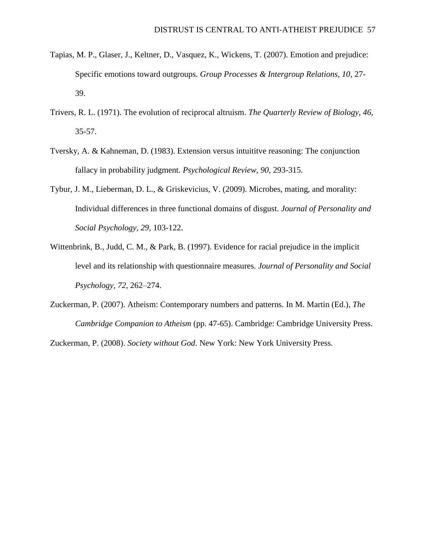- Tapias, M. P., Glaser, J., Keltner, D., Vasquez, K., Wickens, T. (2007). Emotion and prejudice: Specific emotions toward outgroups. *Group Processes & Intergroup Relations, 10,* 27- 39.
- Trivers, R. L. (1971). The evolution of reciprocal altruism. *The Quarterly Review of Biology, 46,*  35-57.
- Tversky, A. & Kahneman, D. (1983). Extension versus intuititve reasoning: The conjunction fallacy in probability judgment. *Psychological Review, 90,* 293-315.
- Tybur, J. M., Lieberman, D. L., & Griskevicius, V. (2009). Microbes, mating, and morality: Individual differences in three functional domains of disgust. *Journal of Personality and Social Psychology, 29*, 103-122.
- Wittenbrink, B., Judd, C. M., & Park, B. (1997). Evidence for racial prejudice in the implicit level and its relationship with questionnaire measures. *Journal of Personality and Social Psychology, 72*, 262–274.
- Zuckerman, P. (2007). Atheism: Contemporary numbers and patterns. In M. Martin (Ed.), *The Cambridge Companion to Atheism* (pp. 47-65). Cambridge: Cambridge University Press. Zuckerman, P. (2008). *Society without God*. New York: New York University Press.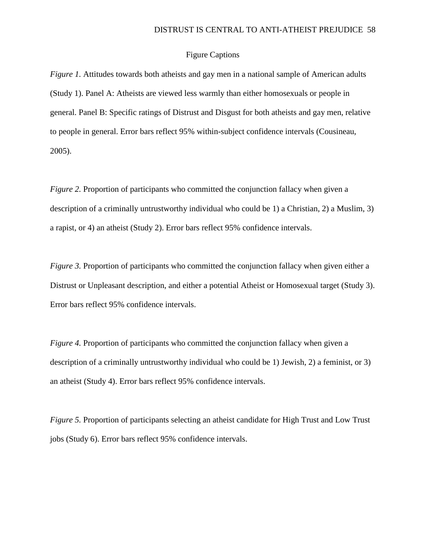# Figure Captions

*Figure 1.* Attitudes towards both atheists and gay men in a national sample of American adults (Study 1). Panel A: Atheists are viewed less warmly than either homosexuals or people in general. Panel B: Specific ratings of Distrust and Disgust for both atheists and gay men, relative to people in general. Error bars reflect 95% within-subject confidence intervals (Cousineau, 2005).

*Figure 2.* Proportion of participants who committed the conjunction fallacy when given a description of a criminally untrustworthy individual who could be 1) a Christian, 2) a Muslim, 3) a rapist, or 4) an atheist (Study 2). Error bars reflect 95% confidence intervals.

*Figure 3.* Proportion of participants who committed the conjunction fallacy when given either a Distrust or Unpleasant description, and either a potential Atheist or Homosexual target (Study 3). Error bars reflect 95% confidence intervals.

*Figure 4.* Proportion of participants who committed the conjunction fallacy when given a description of a criminally untrustworthy individual who could be 1) Jewish, 2) a feminist, or 3) an atheist (Study 4). Error bars reflect 95% confidence intervals.

*Figure 5.* Proportion of participants selecting an atheist candidate for High Trust and Low Trust jobs (Study 6). Error bars reflect 95% confidence intervals.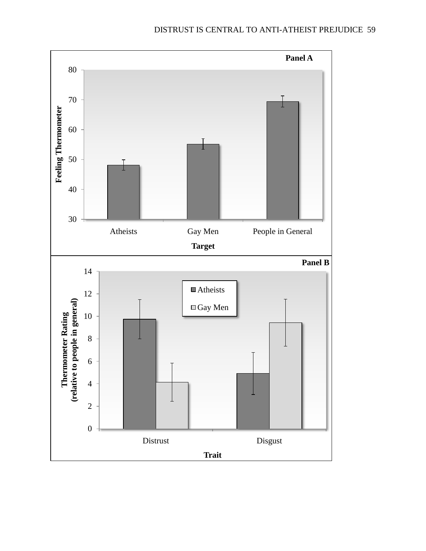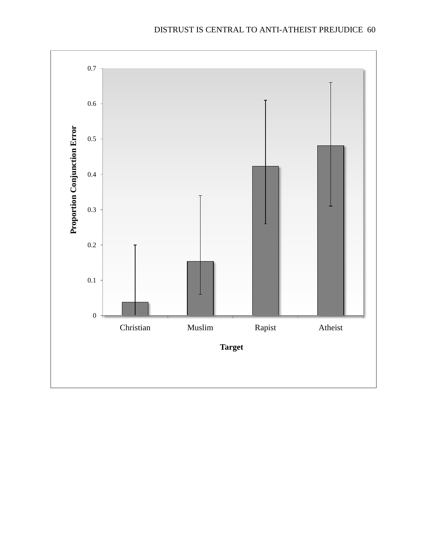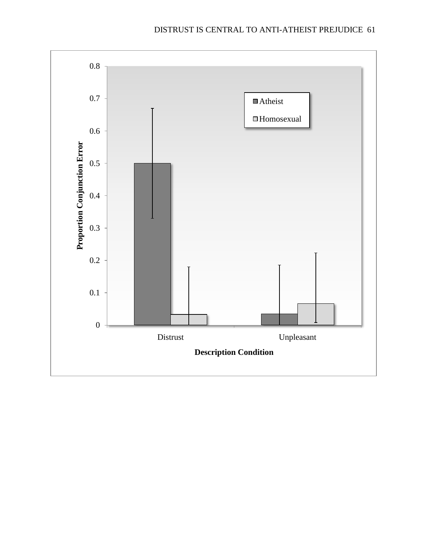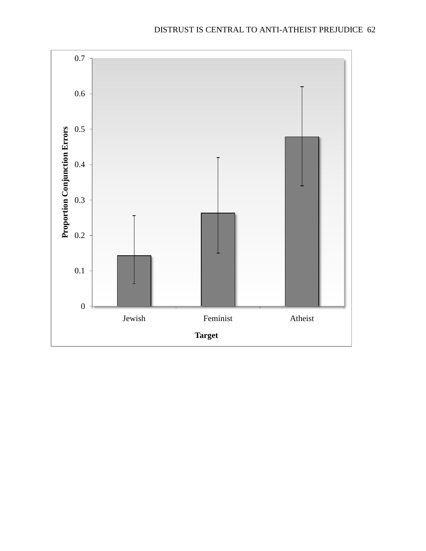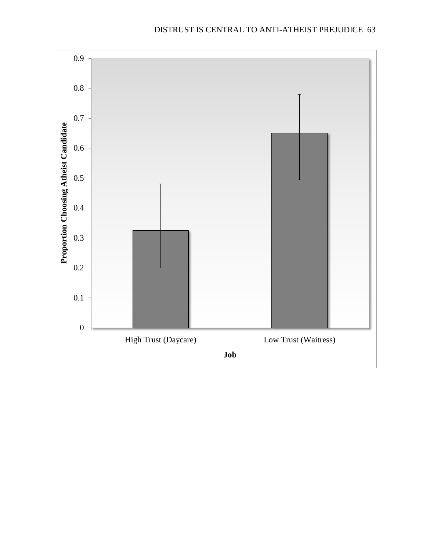